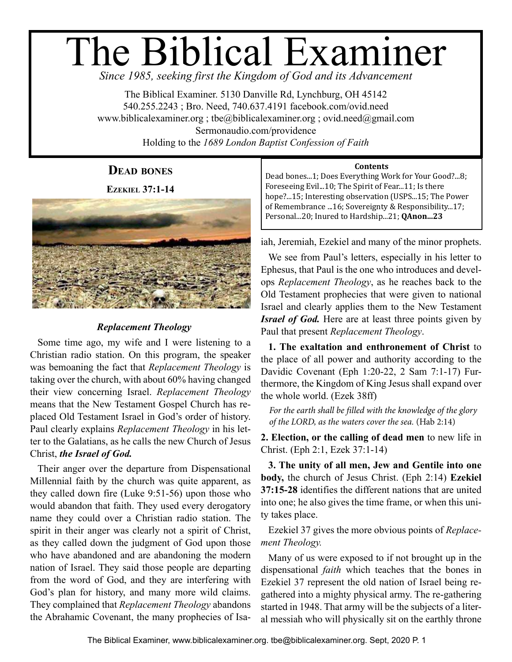# The Biblical Examiner *Since 1985, seeking first the Kingdom of God and its Advancement*

The Biblical Examiner. 5130 Danville Rd, Lynchburg, OH 45142 540.255.2243 ; Bro. Need, 740.637.4191 <facebook.com/ovid.need> <www.biblicalexaminer.org> ; [tbe@biblicalexaminer.org](mailto:tbe@biblicalexaminer.org) ; [ovid.need@gmail.com](mailto:ovid.need@gmail.com) <Sermonaudio.com/providence> Holding to the *1689 London Baptist Confession of Faith*

# **DEAD BONES**

**Ezekiel 37:1-14**



## *Replacement Theology*

Some time ago, my wife and I were listening to a Christian radio station. On this program, the speaker was bemoaning the fact that *Replacement Theology* is taking over the church, with about 60% having changed their view concerning Israel. *Replacement Theology*  means that the New Testament Gospel Church has replaced Old Testament Israel in God's order of history. Paul clearly explains *Replacement Theology* in his letter to the Galatians, as he calls the new Church of Jesus Christ, *the Israel of God.*

Their anger over the departure from Dispensational Millennial faith by the church was quite apparent, as they called down fire (Luke 9:51-56) upon those who would abandon that faith. They used every derogatory name they could over a Christian radio station. The spirit in their anger was clearly not a spirit of Christ, as they called down the judgment of God upon those who have abandoned and are abandoning the modern nation of Israel. They said those people are departing from the word of God, and they are interfering with God's plan for history, and many more wild claims. They complained that *Replacement Theology* abandons the Abrahamic Covenant, the many prophecies of Isa-

#### **Contents**

Dead bones...1; [Does Everything Work for Your Good?...8](#page-7-0); [Foreseeing Evil...10;](#page-9-0) [The Spirit of Fear...11](#page-10-0); [Is there](#page-14-0)  [hope?...15](#page-14-0); [Interesting observation \(USPS...15](#page-14-0); [The Power](#page-15-0)  [of Remembrance ...16](#page-15-0); [Sovereignty & Responsibility...17;](#page-16-0) [Personal...20](#page-19-0); [Inured to Hardship...21](#page-20-0); **[QAnon...23](#page-22-0)**

iah, Jeremiah, Ezekiel and many of the minor prophets.

We see from Paul's letters, especially in his letter to Ephesus, that Paul is the one who introduces and develops *Replacement Theology*, as he reaches back to the Old Testament prophecies that were given to national Israel and clearly applies them to the New Testament *Israel of God.* Here are at least three points given by Paul that present *Replacement Theology*.

**1. The exaltation and enthronement of Christ** to the place of all power and authority according to the Davidic Covenant (Eph 1:20-22, 2 Sam 7:1-17) Furthermore, the Kingdom of King Jesus shall expand over the whole world. (Ezek 38ff)

*For the earth shall be filled with the knowledge of the glory of the LORD, as the waters cover the sea.* (Hab 2:14)

**2. Election, or the calling of dead men** to new life in Christ. (Eph 2:1, Ezek 37:1-14)

**3. The unity of all men, Jew and Gentile into one body,** the church of Jesus Christ. (Eph 2:14) **Ezekiel 37:15-28** identifies the different nations that are united into one; he also gives the time frame, or when this unity takes place.

Ezekiel 37 gives the more obvious points of *Replacement Theology.*

Many of us were exposed to if not brought up in the dispensational *faith* which teaches that the bones in Ezekiel 37 represent the old nation of Israel being regathered into a mighty physical army. The re-gathering started in 1948. That army will be the subjects of a literal messiah who will physically sit on the earthly throne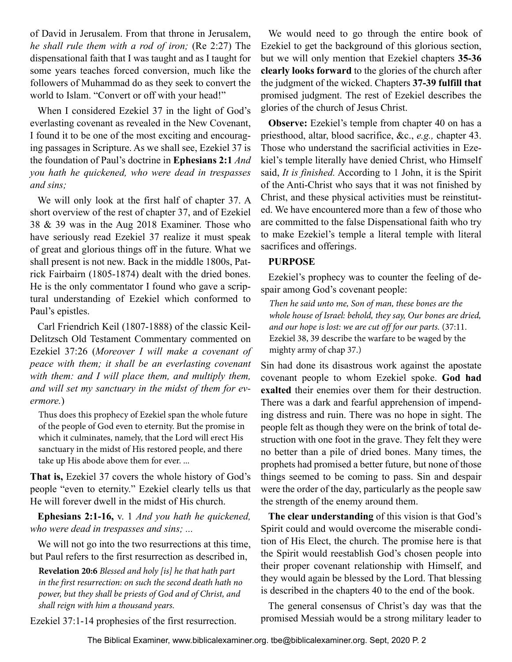of David in Jerusalem. From that throne in Jerusalem, *he shall rule them with a rod of iron;* (Re 2:27) The dispensational faith that I was taught and as I taught for some years teaches forced conversion, much like the followers of Muhammad do as they seek to convert the world to Islam. "Convert or off with your head!"

When I considered Ezekiel 37 in the light of God's everlasting covenant as revealed in the New Covenant, I found it to be one of the most exciting and encouraging passages in Scripture. As we shall see, Ezekiel 37 is the foundation of Paul's doctrine in **Ephesians 2:1** *And you hath he quickened, who were dead in trespasses and sins;*

We will only look at the first half of chapter 37. A short overview of the rest of chapter 37, and of Ezekiel 38 & 39 was in the Aug 2018 Examiner. Those who have seriously read Ezekiel 37 realize it must speak of great and glorious things off in the future. What we shall present is not new. Back in the middle 1800s, Patrick Fairbairn (1805-1874) dealt with the dried bones. He is the only commentator I found who gave a scriptural understanding of Ezekiel which conformed to Paul's epistles.

Carl Friendrich Keil (1807-1888) of the classic Keil-Delitzsch Old Testament Commentary commented on Ezekiel 37:26 (*Moreover I will make a covenant of peace with them; it shall be an everlasting covenant with them: and I will place them, and multiply them, and will set my sanctuary in the midst of them for evermore.*)

Thus does this prophecy of Ezekiel span the whole future of the people of God even to eternity. But the promise in which it culminates, namely, that the Lord will erect His sanctuary in the midst of His restored people, and there take up His abode above them for ever. ...

**That is,** Ezekiel 37 covers the whole history of God's people "even to eternity." Ezekiel clearly tells us that He will forever dwell in the midst of His church.

**Ephesians 2:1-16,** v. 1 *And you hath he quickened, who were dead in trespasses and sins; ...*

We will not go into the two resurrections at this time, but Paul refers to the first resurrection as described in,

**Revelation 20:6** *Blessed and holy [is] he that hath part in the first resurrection: on such the second death hath no power, but they shall be priests of God and of Christ, and shall reign with him a thousand years.*

We would need to go through the entire book of Ezekiel to get the background of this glorious section, but we will only mention that Ezekiel chapters **35-36 clearly looks forward** to the glories of the church after the judgment of the wicked. Chapters **37-39 fulfill that**  promised judgment. The rest of Ezekiel describes the glories of the church of Jesus Christ.

**Observe:** Ezekiel's temple from chapter 40 on has a priesthood, altar, blood sacrifice, &c., *e.g.,* chapter 43. Those who understand the sacrificial activities in Ezekiel's temple literally have denied Christ, who Himself said, *It is finished.* According to 1 John, it is the Spirit of the Anti-Christ who says that it was not finished by Christ, and these physical activities must be reinstituted. We have encountered more than a few of those who are committed to the false Dispensational faith who try to make Ezekiel's temple a literal temple with literal sacrifices and offerings.

## **PURPOSE**

Ezekiel's prophecy was to counter the feeling of despair among God's covenant people:

*Then he said unto me, Son of man, these bones are the whole house of Israel: behold, they say, Our bones are dried, and our hope is lost: we are cut off for our parts.* (37:11. Ezekiel 38, 39 describe the warfare to be waged by the mighty army of chap 37.)

Sin had done its disastrous work against the apostate covenant people to whom Ezekiel spoke. **God had exalted** their enemies over them for their destruction. There was a dark and fearful apprehension of impending distress and ruin. There was no hope in sight. The people felt as though they were on the brink of total destruction with one foot in the grave. They felt they were no better than a pile of dried bones. Many times, the prophets had promised a better future, but none of those things seemed to be coming to pass. Sin and despair were the order of the day, particularly as the people saw the strength of the enemy around them.

**The clear understanding** of this vision is that God's Spirit could and would overcome the miserable condition of His Elect, the church. The promise here is that the Spirit would reestablish God's chosen people into their proper covenant relationship with Himself, and they would again be blessed by the Lord. That blessing is described in the chapters 40 to the end of the book.

The general consensus of Christ's day was that the promised Messiah would be a strong military leader to

Ezekiel 37:1-14 prophesies of the first resurrection.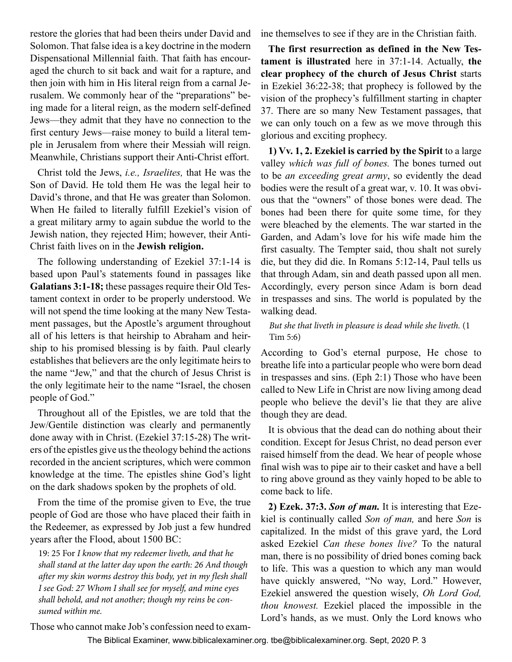restore the glories that had been theirs under David and Solomon. That false idea is a key doctrine in the modern Dispensational Millennial faith. That faith has encouraged the church to sit back and wait for a rapture, and then join with him in His literal reign from a carnal Jerusalem. We commonly hear of the "preparations" being made for a literal reign, as the modern self-defined Jews—they admit that they have no connection to the first century Jews—raise money to build a literal temple in Jerusalem from where their Messiah will reign. Meanwhile, Christians support their Anti-Christ effort.

Christ told the Jews, *i.e., Israelites,* that He was the Son of David. He told them He was the legal heir to David's throne, and that He was greater than Solomon. When He failed to literally fulfill Ezekiel's vision of a great military army to again subdue the world to the Jewish nation, they rejected Him; however, their Anti-Christ faith lives on in the **Jewish religion.**

The following understanding of Ezekiel 37:1-14 is based upon Paul's statements found in passages like **Galatians 3:1-18;** these passages require their Old Testament context in order to be properly understood. We will not spend the time looking at the many New Testament passages, but the Apostle's argument throughout all of his letters is that heirship to Abraham and heirship to his promised blessing is by faith. Paul clearly establishes that believers are the only legitimate heirs to the name "Jew," and that the church of Jesus Christ is the only legitimate heir to the name "Israel, the chosen people of God."

Throughout all of the Epistles, we are told that the Jew/Gentile distinction was clearly and permanently done away with in Christ. (Ezekiel 37:15-28) The writers of the epistles give us the theology behind the actions recorded in the ancient scriptures, which were common knowledge at the time. The epistles shine God's light on the dark shadows spoken by the prophets of old.

From the time of the promise given to Eve, the true people of God are those who have placed their faith in the Redeemer, as expressed by Job just a few hundred years after the Flood, about 1500 BC:

19: 25 For *I know that my redeemer liveth, and that he shall stand at the latter day upon the earth: 26 And though after my skin worms destroy this body, yet in my flesh shall I see God: 27 Whom I shall see for myself, and mine eyes shall behold, and not another; though my reins be consumed within me.*

ine themselves to see if they are in the Christian faith.

**The first resurrection as defined in the New Testament is illustrated** here in 37:1-14. Actually, **the clear prophecy of the church of Jesus Christ** starts in Ezekiel 36:22-38; that prophecy is followed by the vision of the prophecy's fulfillment starting in chapter 37. There are so many New Testament passages, that we can only touch on a few as we move through this glorious and exciting prophecy.

**1) Vv. 1, 2. Ezekiel is carried by the Spirit** to a large valley *which was full of bones.* The bones turned out to be *an exceeding great army*, so evidently the dead bodies were the result of a great war, v. 10. It was obvious that the "owners" of those bones were dead. The bones had been there for quite some time, for they were bleached by the elements. The war started in the Garden, and Adam's love for his wife made him the first casualty. The Tempter said, thou shalt not surely die, but they did die. In Romans 5:12-14, Paul tells us that through Adam, sin and death passed upon all men. Accordingly, every person since Adam is born dead in trespasses and sins. The world is populated by the walking dead.

*But she that liveth in pleasure is dead while she liveth.* (1 Tim 5:6)

According to God's eternal purpose, He chose to breathe life into a particular people who were born dead in trespasses and sins. (Eph 2:1) Those who have been called to New Life in Christ are now living among dead people who believe the devil's lie that they are alive though they are dead.

It is obvious that the dead can do nothing about their condition. Except for Jesus Christ, no dead person ever raised himself from the dead. We hear of people whose final wish was to pipe air to their casket and have a bell to ring above ground as they vainly hoped to be able to come back to life.

**2) Ezek. 37:3.** *Son of man.* It is interesting that Ezekiel is continually called *Son of man,* and here *Son* is capitalized. In the midst of this grave yard, the Lord asked Ezekiel *Can these bones live?* To the natural man, there is no possibility of dried bones coming back to life. This was a question to which any man would have quickly answered, "No way, Lord." However, Ezekiel answered the question wisely, *Oh Lord God, thou knowest.* Ezekiel placed the impossible in the Lord's hands, as we must. Only the Lord knows who

Those who cannot make Job's confession need to exam-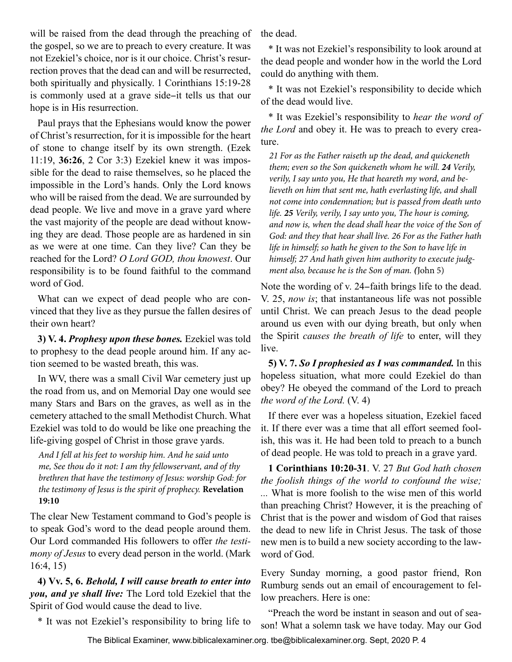will be raised from the dead through the preaching of the gospel, so we are to preach to every creature. It was not Ezekiel's choice, nor is it our choice. Christ's resurrection proves that the dead can and will be resurrected, both spiritually and physically. 1 Corinthians 15:19-28 is commonly used at a grave side-it tells us that our hope is in His resurrection.

Paul prays that the Ephesians would know the power of Christ's resurrection, for it is impossible for the heart of stone to change itself by its own strength. (Ezek 11:19, **36:26**, 2 Cor 3:3) Ezekiel knew it was impossible for the dead to raise themselves, so he placed the impossible in the Lord's hands. Only the Lord knows who will be raised from the dead. We are surrounded by dead people. We live and move in a grave yard where the vast majority of the people are dead without knowing they are dead. Those people are as hardened in sin as we were at one time. Can they live? Can they be reached for the Lord? *O Lord GOD, thou knowest*. Our responsibility is to be found faithful to the command word of God.

What can we expect of dead people who are convinced that they live as they pursue the fallen desires of their own heart?

**3) V. 4.** *Prophesy upon these bones.* Ezekiel was told to prophesy to the dead people around him. If any action seemed to be wasted breath, this was.

In WV, there was a small Civil War cemetery just up the road from us, and on Memorial Day one would see many Stars and Bars on the graves, as well as in the cemetery attached to the small Methodist Church. What Ezekiel was told to do would be like one preaching the life-giving gospel of Christ in those grave yards.

*And I fell at his feet to worship him. And he said unto me, See thou do it not: I am thy fellowservant, and of thy brethren that have the testimony of Jesus: worship God: for the testimony of Jesus is the spirit of prophecy.* **Revelation 19:10**

The clear New Testament command to God's people is to speak God's word to the dead people around them. Our Lord commanded His followers to offer *the testimony of Jesus* to every dead person in the world. (Mark 16:4, 15)

**4) Vv. 5, 6.** *Behold, I will cause breath to enter into you, and ye shall live:* The Lord told Ezekiel that the Spirit of God would cause the dead to live.

\* It was not Ezekiel's responsibility to bring life to

the dead.

\* It was not Ezekiel's responsibility to look around at the dead people and wonder how in the world the Lord could do anything with them.

\* It was not Ezekiel's responsibility to decide which of the dead would live.

\* It was Ezekiel's responsibility to *hear the word of the Lord* and obey it. He was to preach to every creature.

*21 For as the Father raiseth up the dead, and quickeneth them; even so the Son quickeneth whom he will. 24 Verily, verily, I say unto you, He that heareth my word, and believeth on him that sent me, hath everlasting life, and shall not come into condemnation; but is passed from death unto life. 25 Verily, verily, I say unto you, The hour is coming, and now is, when the dead shall hear the voice of the Son of God: and they that hear shall live. 26 For as the Father hath life in himself; so hath he given to the Son to have life in himself; 27 And hath given him authority to execute judgment also, because he is the Son of man. (*John 5)

Note the wording of v. 24-faith brings life to the dead. V. 25, *now is*; that instantaneous life was not possible until Christ. We can preach Jesus to the dead people around us even with our dying breath, but only when the Spirit *causes the breath of life* to enter, will they live.

**5) V. 7.** *So I prophesied as I was commanded.* In this hopeless situation, what more could Ezekiel do than obey? He obeyed the command of the Lord to preach *the word of the Lord.* (V. 4)

If there ever was a hopeless situation, Ezekiel faced it. If there ever was a time that all effort seemed foolish, this was it. He had been told to preach to a bunch of dead people. He was told to preach in a grave yard.

**1 Corinthians 10:20-31**. V. 27 *But God hath chosen the foolish things of the world to confound the wise; ...* What is more foolish to the wise men of this world than preaching Christ? However, it is the preaching of Christ that is the power and wisdom of God that raises the dead to new life in Christ Jesus. The task of those new men is to build a new society according to the lawword of God.

Every Sunday morning, a good pastor friend, Ron Rumburg sends out an email of encouragement to fellow preachers. Here is one:

"Preach the word be instant in season and out of season! What a solemn task we have today. May our God

The Biblical Examiner, [www.biblicalexaminer.org.](www.biblicalexaminer.org) [tbe@biblicalexaminer.org.](mailto:tbe@biblicalexaminer.org) Sept, 2020 P. 4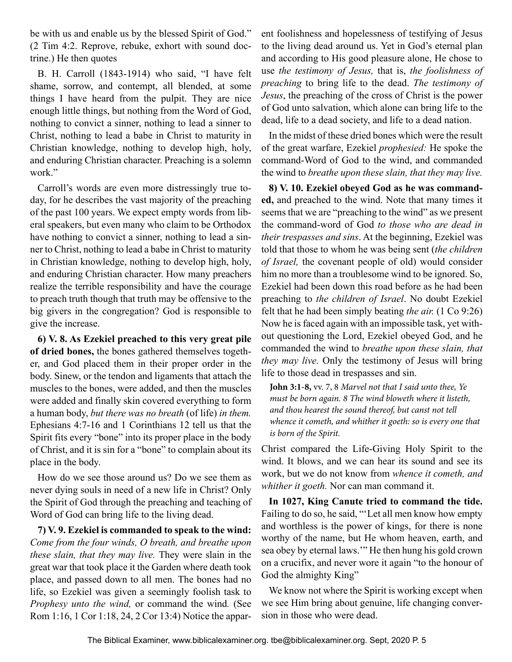be with us and enable us by the blessed Spirit of God." (2 Tim 4:2. Reprove, rebuke, exhort with sound doctrine.) He then quotes

B. H. Carroll (1843-1914) who said, "I have felt shame, sorrow, and contempt, all blended, at some things I have heard from the pulpit. They are nice enough little things, but nothing from the Word of God, nothing to convict a sinner, nothing to lead a sinner to Christ, nothing to lead a babe in Christ to maturity in Christian knowledge, nothing to develop high, holy, and enduring Christian character. Preaching is a solemn work."

Carroll's words are even more distressingly true today, for he describes the vast majority of the preaching of the past 100 years. We expect empty words from liberal speakers, but even many who claim to be Orthodox have nothing to convict a sinner, nothing to lead a sinner to Christ, nothing to lead a babe in Christ to maturity in Christian knowledge, nothing to develop high, holy, and enduring Christian character. How many preachers realize the terrible responsibility and have the courage to preach truth though that truth may be offensive to the big givers in the congregation? God is responsible to give the increase.

**6) V. 8. As Ezekiel preached to this very great pile of dried bones,** the bones gathered themselves together, and God placed them in their proper order in the body. Sinew, or the tendon and ligaments that attach the muscles to the bones, were added, and then the muscles were added and finally skin covered everything to form a human body, *but there was no breath* (of life) *in them.*  Ephesians 4:7-16 and 1 Corinthians 12 tell us that the Spirit fits every "bone" into its proper place in the body of Christ, and it is sin for a "bone" to complain about its place in the body.

How do we see those around us? Do we see them as never dying souls in need of a new life in Christ? Only the Spirit of God through the preaching and teaching of Word of God can bring life to the living dead.

**7) V. 9. Ezekiel is commanded to speak to the wind:** *Come from the four winds, O breath, and breathe upon these slain, that they may live.* They were slain in the great war that took place it the Garden where death took place, and passed down to all men. The bones had no life, so Ezekiel was given a seemingly foolish task to *Prophesy unto the wind,* or command the wind*.* (See Rom 1:16, 1 Cor 1:18, 24, 2 Cor 13:4) Notice the appar-

ent foolishness and hopelessness of testifying of Jesus to the living dead around us. Yet in God's eternal plan and according to His good pleasure alone, He chose to use *the testimony of Jesus,* that is, *the foolishness of preaching* to bring life to the dead. *The testimony of Jesus*, the preaching of the cross of Christ is the power of God unto salvation, which alone can bring life to the dead, life to a dead society, and life to a dead nation.

In the midst of these dried bones which were the result of the great warfare, Ezekiel *prophesied:* He spoke the command-Word of God to the wind, and commanded the wind to *breathe upon these slain, that they may live.*

**8) V. 10. Ezekiel obeyed God as he was commanded,** and preached to the wind. Note that many times it seems that we are "preaching to the wind" as we present the command-word of God *to those who are dead in their trespasses and sins*. At the beginning, Ezekiel was told that those to whom he was being sent (*the children of Israel,* the covenant people of old) would consider him no more than a troublesome wind to be ignored. So, Ezekiel had been down this road before as he had been preaching to *the children of Israel*. No doubt Ezekiel felt that he had been simply beating *the air.* (1 Co 9:26) Now he is faced again with an impossible task, yet without questioning the Lord, Ezekiel obeyed God, and he commanded the wind to *breathe upon these slain, that they may live.* Only the testimony of Jesus will bring life to those dead in trespasses and sin.

**John 3:1-8,** vv. 7, 8 *Marvel not that I said unto thee, Ye must be born again. 8 The wind bloweth where it listeth, and thou hearest the sound thereof, but canst not tell whence it cometh, and whither it goeth: so is every one that is born of the Spirit.*

Christ compared the Life-Giving Holy Spirit to the wind. It blows, and we can hear its sound and see its work, but we do not know from *whence it cometh, and whither it goeth.* Nor can man command it.

**In 1027, King Canute tried to command the tide.**  Failing to do so, he said, "'Let all men know how empty and worthless is the power of kings, for there is none worthy of the name, but He whom heaven, earth, and sea obey by eternal laws.'" He then hung his gold crown on a crucifix, and never wore it again "to the honour of God the almighty King"

We know not where the Spirit is working except when we see Him bring about genuine, life changing conversion in those who were dead.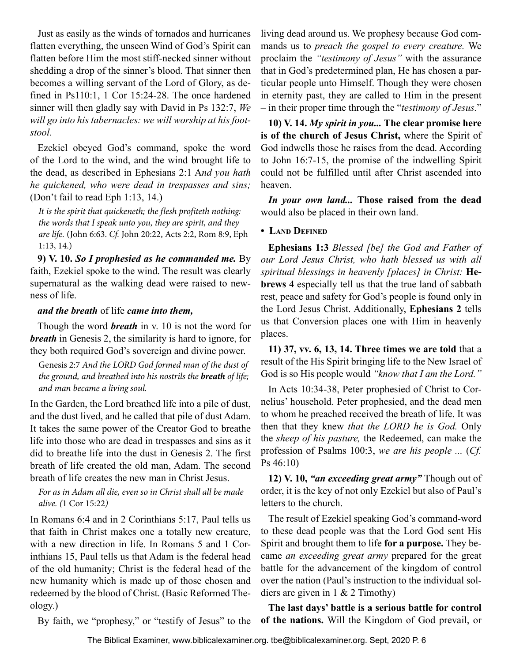Just as easily as the winds of tornados and hurricanes flatten everything, the unseen Wind of God's Spirit can flatten before Him the most stiff-necked sinner without shedding a drop of the sinner's blood. That sinner then becomes a willing servant of the Lord of Glory, as defined in Ps110:1, 1 Cor 15:24-28. The once hardened sinner will then gladly say with David in Ps 132:7, *We will go into his tabernacles: we will worship at his footstool.*

Ezekiel obeyed God's command, spoke the word of the Lord to the wind, and the wind brought life to the dead, as described in Ephesians 2:1 A*nd you hath he quickened, who were dead in trespasses and sins;*  (Don't fail to read Eph 1:13, 14.)

*It is the spirit that quickeneth; the flesh profiteth nothing: the words that I speak unto you, they are spirit, and they are life.* (John 6:63. *Cf.* John 20:22, Acts 2:2, Rom 8:9, Eph 1:13, 14.)

**9) V. 10.** *So I prophesied as he commanded me.* By faith, Ezekiel spoke to the wind. The result was clearly supernatural as the walking dead were raised to newness of life.

## *and the breath* of life *came into them,*

Though the word *breath* in v. 10 is not the word for *breath* in Genesis 2, the similarity is hard to ignore, for they both required God's sovereign and divine power.

Genesis 2:7 *And the LORD God formed man of the dust of the ground, and breathed into his nostrils the breath of life; and man became a living soul.*

In the Garden, the Lord breathed life into a pile of dust, and the dust lived, and he called that pile of dust Adam. It takes the same power of the Creator God to breathe life into those who are dead in trespasses and sins as it did to breathe life into the dust in Genesis 2. The first breath of life created the old man, Adam. The second breath of life creates the new man in Christ Jesus.

*For as in Adam all die, even so in Christ shall all be made alive. (*1 Cor 15:22*)*

In Romans 6:4 and in 2 Corinthians 5:17, Paul tells us that faith in Christ makes one a totally new creature, with a new direction in life. In Romans 5 and 1 Corinthians 15, Paul tells us that Adam is the federal head of the old humanity; Christ is the federal head of the new humanity which is made up of those chosen and redeemed by the blood of Christ. (Basic Reformed Theology.)

By faith, we "prophesy," or "testify of Jesus" to the

living dead around us. We prophesy because God commands us to *preach the gospel to every creature.* We proclaim the *"testimony of Jesus"* with the assurance that in God's predetermined plan, He has chosen a particular people unto Himself. Though they were chosen in eternity past, they are called to Him in the present – in their proper time through the "*testimony of Jesus.*"

**10) V. 14.** *My spirit in you...* **The clear promise here is of the church of Jesus Christ,** where the Spirit of God indwells those he raises from the dead. According to John 16:7-15, the promise of the indwelling Spirit could not be fulfilled until after Christ ascended into heaven.

*In your own land...* **Those raised from the dead**  would also be placed in their own land.

## **• Land Defined**

**Ephesians 1:3** *Blessed [be] the God and Father of our Lord Jesus Christ, who hath blessed us with all spiritual blessings in heavenly [places] in Christ:* **Hebrews 4** especially tell us that the true land of sabbath rest, peace and safety for God's people is found only in the Lord Jesus Christ. Additionally, **Ephesians 2** tells us that Conversion places one with Him in heavenly places.

**11) 37, vv. 6, 13, 14. Three times we are told** that a result of the His Spirit bringing life to the New Israel of God is so His people would *"know that I am the Lord."*

In Acts 10:34-38, Peter prophesied of Christ to Cornelius' household. Peter prophesied, and the dead men to whom he preached received the breath of life. It was then that they knew *that the LORD he is God.* Only the *sheep of his pasture,* the Redeemed, can make the profession of Psalms 100:3, *we are his people ...* (*Cf.*  Ps 46:10)

**12) V. 10,** *"an exceeding great army"* Though out of order, it is the key of not only Ezekiel but also of Paul's letters to the church.

The result of Ezekiel speaking God's command-word to these dead people was that the Lord God sent His Spirit and brought them to life **for a purpose.** They became *an exceeding great army* prepared for the great battle for the advancement of the kingdom of control over the nation (Paul's instruction to the individual soldiers are given in  $1 \& 2$  Timothy)

**The last days' battle is a serious battle for control of the nations.** Will the Kingdom of God prevail, or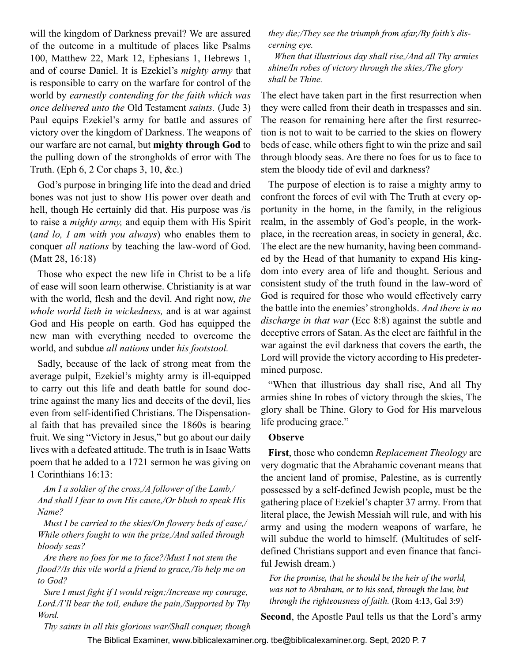will the kingdom of Darkness prevail? We are assured of the outcome in a multitude of places like Psalms 100, Matthew 22, Mark 12, Ephesians 1, Hebrews 1, and of course Daniel. It is Ezekiel's *mighty army* that is responsible to carry on the warfare for control of the world by *earnestly contending for the faith which was once delivered unto the* Old Testament *saints.* (Jude 3) Paul equips Ezekiel's army for battle and assures of victory over the kingdom of Darkness. The weapons of our warfare are not carnal, but **mighty through God** to the pulling down of the strongholds of error with The Truth. (Eph 6, 2 Cor chaps 3, 10, &c.)

God's purpose in bringing life into the dead and dried bones was not just to show His power over death and hell, though He certainly did that. His purpose was /is to raise a *mighty army,* and equip them with His Spirit (*and lo, I am with you always*) who enables them to conquer *all nations* by teaching the law-word of God. (Matt 28, 16:18)

Those who expect the new life in Christ to be a life of ease will soon learn otherwise. Christianity is at war with the world, flesh and the devil. And right now, *the whole world lieth in wickedness,* and is at war against God and His people on earth. God has equipped the new man with everything needed to overcome the world, and subdue *all nations* under *his footstool.*

Sadly, because of the lack of strong meat from the average pulpit, Ezekiel's mighty army is ill-equipped to carry out this life and death battle for sound doctrine against the many lies and deceits of the devil, lies even from self-identified Christians. The Dispensational faith that has prevailed since the 1860s is bearing fruit. We sing "Victory in Jesus," but go about our daily lives with a defeated attitude. The truth is in Isaac Watts poem that he added to a 1721 sermon he was giving on 1 Corinthians 16:13:

*Am I a soldier of the cross,/A follower of the Lamb,/ And shall I fear to own His cause,/Or blush to speak His Name?*

*Must I be carried to the skies/On flowery beds of ease,/ While others fought to win the prize,/And sailed through bloody seas?*

*Are there no foes for me to face?/Must I not stem the flood?/Is this vile world a friend to grace,/To help me on to God?*

*Sure I must fight if I would reign;/Increase my courage, Lord./I'll bear the toil, endure the pain,/Supported by Thy Word.*

*Thy saints in all this glorious war/Shall conquer, though* 

*they die;/They see the triumph from afar,/By faith's discerning eye.*

*When that illustrious day shall rise,/And all Thy armies shine/In robes of victory through the skies,/The glory shall be Thine.*

The elect have taken part in the first resurrection when they were called from their death in trespasses and sin. The reason for remaining here after the first resurrection is not to wait to be carried to the skies on flowery beds of ease, while others fight to win the prize and sail through bloody seas. Are there no foes for us to face to stem the bloody tide of evil and darkness?

The purpose of election is to raise a mighty army to confront the forces of evil with The Truth at every opportunity in the home, in the family, in the religious realm, in the assembly of God's people, in the workplace, in the recreation areas, in society in general, &c. The elect are the new humanity, having been commanded by the Head of that humanity to expand His kingdom into every area of life and thought. Serious and consistent study of the truth found in the law-word of God is required for those who would effectively carry the battle into the enemies' strongholds. *And there is no discharge in that war* (Ecc 8:8) against the subtle and deceptive errors of Satan. As the elect are faithful in the war against the evil darkness that covers the earth, the Lord will provide the victory according to His predetermined purpose.

"When that illustrious day shall rise, And all Thy armies shine In robes of victory through the skies, The glory shall be Thine. Glory to God for His marvelous life producing grace."

## **Observe**

**First**, those who condemn *Replacement Theology* are very dogmatic that the Abrahamic covenant means that the ancient land of promise, Palestine, as is currently possessed by a self-defined Jewish people, must be the gathering place of Ezekiel's chapter 37 army. From that literal place, the Jewish Messiah will rule, and with his army and using the modern weapons of warfare, he will subdue the world to himself. (Multitudes of selfdefined Christians support and even finance that fanciful Jewish dream.)

*For the promise, that he should be the heir of the world, was not to Abraham, or to his seed, through the law, but through the righteousness of faith.* (Rom 4:13, Gal 3:9)

**Second**, the Apostle Paul tells us that the Lord's army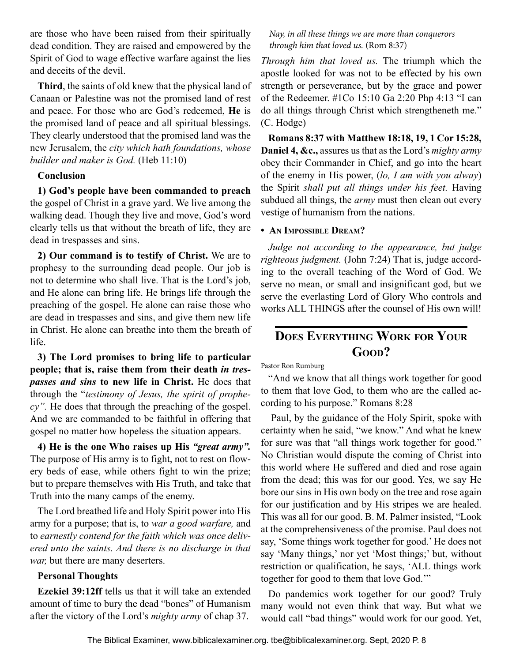<span id="page-7-0"></span>are those who have been raised from their spiritually dead condition. They are raised and empowered by the Spirit of God to wage effective warfare against the lies and deceits of the devil.

**Third**, the saints of old knew that the physical land of Canaan or Palestine was not the promised land of rest and peace. For those who are God's redeemed, **He** is the promised land of peace and all spiritual blessings. They clearly understood that the promised land was the new Jerusalem, the *city which hath foundations, whose builder and maker is God.* (Heb 11:10)

## **Conclusion**

**1) God's people have been commanded to preach** the gospel of Christ in a grave yard. We live among the walking dead. Though they live and move, God's word clearly tells us that without the breath of life, they are dead in trespasses and sins.

**2) Our command is to testify of Christ.** We are to prophesy to the surrounding dead people. Our job is not to determine who shall live. That is the Lord's job, and He alone can bring life. He brings life through the preaching of the gospel. He alone can raise those who are dead in trespasses and sins, and give them new life in Christ. He alone can breathe into them the breath of life.

**3) The Lord promises to bring life to particular people; that is, raise them from their death** *in trespasses and sins* **to new life in Christ.** He does that through the "*testimony of Jesus, the spirit of prophecy".* He does that through the preaching of the gospel. And we are commanded to be faithful in offering that gospel no matter how hopeless the situation appears.

**4) He is the one Who raises up His** *"great army".*  The purpose of His army is to fight, not to rest on flowery beds of ease, while others fight to win the prize; but to prepare themselves with His Truth, and take that Truth into the many camps of the enemy.

The Lord breathed life and Holy Spirit power into His army for a purpose; that is, to *war a good warfare,* and to *earnestly contend for the faith which was once delivered unto the saints. And there is no discharge in that war*, but there are many deserters.

## **Personal Thoughts**

**Ezekiel 39:12ff** tells us that it will take an extended amount of time to bury the dead "bones" of Humanism after the victory of the Lord's *mighty army* of chap 37.

*Nay, in all these things we are more than conquerors through him that loved us.* (Rom 8:37)

*Through him that loved us.* The triumph which the apostle looked for was not to be effected by his own strength or perseverance, but by the grace and power of the Redeemer. #1Co 15:10 Ga 2:20 Php 4:13 "I can do all things through Christ which strengtheneth me." (C. Hodge)

**Romans 8:37 with Matthew 18:18, 19, 1 Cor 15:28, Daniel 4, &c.,** assures us that as the Lord's *mighty army* obey their Commander in Chief, and go into the heart of the enemy in His power, (*lo, I am with you alway*) the Spirit *shall put all things under his feet.* Having subdued all things, the *army* must then clean out every vestige of humanism from the nations.

## **• An Impossible Dream?**

*Judge not according to the appearance, but judge righteous judgment.* (John 7:24) That is, judge according to the overall teaching of the Word of God. We serve no mean, or small and insignificant god, but we serve the everlasting Lord of Glory Who controls and works ALL THINGS after the counsel of His own will!

# **Does Everything Work for Your** Good?

Pastor Ron Rumburg

"And we know that all things work together for good to them that love God, to them who are the called according to his purpose." Romans 8:28

 Paul, by the guidance of the Holy Spirit, spoke with certainty when he said, "we know." And what he knew for sure was that "all things work together for good." No Christian would dispute the coming of Christ into this world where He suffered and died and rose again from the dead; this was for our good. Yes, we say He bore our sins in His own body on the tree and rose again for our justification and by His stripes we are healed. This was all for our good. B. M. Palmer insisted, "Look at the comprehensiveness of the promise. Paul does not say, 'Some things work together for good.' He does not say 'Many things,' nor yet 'Most things;' but, without restriction or qualification, he says, 'ALL things work together for good to them that love God.'"

Do pandemics work together for our good? Truly many would not even think that way. But what we would call "bad things" would work for our good. Yet,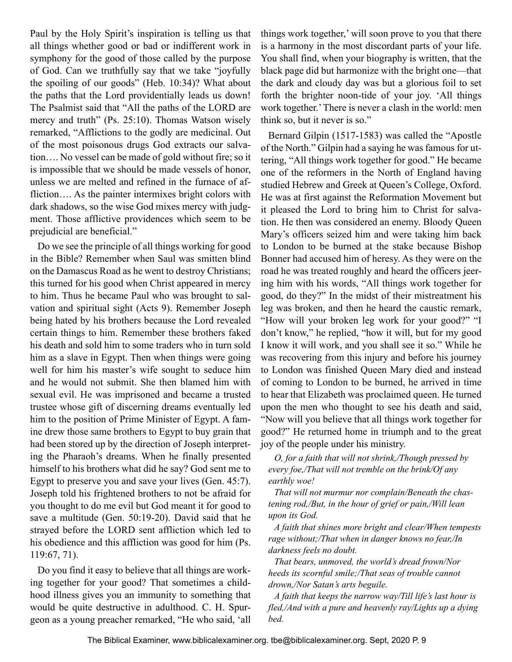Paul by the Holy Spirit's inspiration is telling us that all things whether good or bad or indifferent work in symphony for the good of those called by the purpose of God. Can we truthfully say that we take "joyfully the spoiling of our goods" (Heb. 10:34)? What about the paths that the Lord providentially leads us down! The Psalmist said that "All the paths of the LORD are mercy and truth" (Ps. 25:10). Thomas Watson wisely remarked, "Afflictions to the godly are medicinal. Out of the most poisonous drugs God extracts our salvation…. No vessel can be made of gold without fire; so it is impossible that we should be made vessels of honor, unless we are melted and refined in the furnace of affliction.... As the painter intermixes bright colors with dark shadows, so the wise God mixes mercy with judgment. Those afflictive providences which seem to be prejudicial are beneficial."

Do we see the principle of all things working for good in the Bible? Remember when Saul was smitten blind on the Damascus Road as he went to destroy Christians; this turned for his good when Christ appeared in mercy to him. Thus he became Paul who was brought to salvation and spiritual sight (Acts 9). Remember Joseph being hated by his brothers because the Lord revealed certain things to him. Remember these brothers faked his death and sold him to some traders who in turn sold him as a slave in Egypt. Then when things were going well for him his master's wife sought to seduce him and he would not submit. She then blamed him with sexual evil. He was imprisoned and became a trusted trustee whose gift of discerning dreams eventually led him to the position of Prime Minister of Egypt. A famine drew those same brothers to Egypt to buy grain that had been stored up by the direction of Joseph interpreting the Pharaoh's dreams. When he finally presented himself to his brothers what did he say? God sent me to Egypt to preserve you and save your lives (Gen. 45:7). Joseph told his frightened brothers to not be afraid for you thought to do me evil but God meant it for good to save a multitude (Gen. 50:19-20). David said that he strayed before the LORD sent affliction which led to his obedience and this affliction was good for him (Ps. 119:67, 71).

Do you find it easy to believe that all things are working together for your good? That sometimes a childhood illness gives you an immunity to something that would be quite destructive in adulthood. C. H. Spurgeon as a young preacher remarked, "He who said, 'all

things work together,' will soon prove to you that there is a harmony in the most discordant parts of your life. You shall find, when your biography is written, that the black page did but harmonize with the bright one—that the dark and cloudy day was but a glorious foil to set forth the brighter noon-tide of your joy. 'All things work together.' There is never a clash in the world: men think so, but it never is so."

Bernard Gilpin (1517-1583) was called the "Apostle of the North." Gilpin had a saying he was famous for uttering, "All things work together for good." He became one of the reformers in the North of England having studied Hebrew and Greek at Queen's College, Oxford. He was at first against the Reformation Movement but it pleased the Lord to bring him to Christ for salvation. He then was considered an enemy. Bloody Queen Mary's officers seized him and were taking him back to London to be burned at the stake because Bishop Bonner had accused him of heresy. As they were on the road he was treated roughly and heard the officers jeering him with his words, "All things work together for good, do they?" In the midst of their mistreatment his leg was broken, and then he heard the caustic remark, "How will your broken leg work for your good?" "I don't know," he replied, "how it will, but for my good I know it will work, and you shall see it so." While he was recovering from this injury and before his journey to London was finished Queen Mary died and instead of coming to London to be burned, he arrived in time to hear that Elizabeth was proclaimed queen. He turned upon the men who thought to see his death and said, "Now will you believe that all things work together for good?" He returned home in triumph and to the great joy of the people under his ministry.

*O, for a faith that will not shrink,/Though pressed by every foe,/That will not tremble on the brink/Of any earthly woe!*

*That will not murmur nor complain/Beneath the chastening rod,/But, in the hour of grief or pain,/Will lean upon its God.*

*A faith that shines more bright and clear/When tempests rage without;/That when in danger knows no fear,/In darkness feels no doubt.*

*That bears, unmoved, the world's dread frown/Nor heeds its scornful smile;/That seas of trouble cannot drown,/Nor Satan's arts beguile.*

*A faith that keeps the narrow way/Till life's last hour is fled,/And with a pure and heavenly ray/Lights up a dying bed.*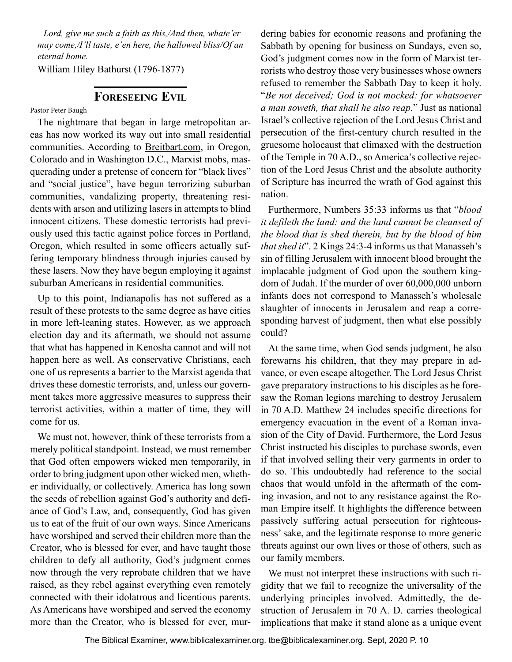<span id="page-9-0"></span>*Lord, give me such a faith as this,/And then, whate'er may come,/I'll taste, e'en here, the hallowed bliss/Of an eternal home.*

William Hiley Bathurst (1796-1877)

# **Foreseeing Evil**

Pastor Peter Baugh

The nightmare that began in large metropolitan areas has now worked its way out into small residential communities. According to Breitbart.com, in Oregon, Colorado and in Washington D.C., Marxist mobs, masquerading under a pretense of concern for "black lives" and "social justice", have begun terrorizing suburban communities, vandalizing property, threatening residents with arson and utilizing lasers in attempts to blind innocent citizens. These domestic terrorists had previously used this tactic against police forces in Portland, Oregon, which resulted in some officers actually suffering temporary blindness through injuries caused by these lasers. Now they have begun employing it against suburban Americans in residential communities.

Up to this point, Indianapolis has not suffered as a result of these protests to the same degree as have cities in more left-leaning states. However, as we approach election day and its aftermath, we should not assume that what has happened in Kenosha cannot and will not happen here as well. As conservative Christians, each one of us represents a barrier to the Marxist agenda that drives these domestic terrorists, and, unless our government takes more aggressive measures to suppress their terrorist activities, within a matter of time, they will come for us.

We must not, however, think of these terrorists from a merely political standpoint. Instead, we must remember that God often empowers wicked men temporarily, in order to bring judgment upon other wicked men, whether individually, or collectively. America has long sown the seeds of rebellion against God's authority and defiance of God's Law, and, consequently, God has given us to eat of the fruit of our own ways. Since Americans have worshiped and served their children more than the Creator, who is blessed for ever, and have taught those children to defy all authority, God's judgment comes now through the very reprobate children that we have raised, as they rebel against everything even remotely connected with their idolatrous and licentious parents. As Americans have worshiped and served the economy more than the Creator, who is blessed for ever, murdering babies for economic reasons and profaning the Sabbath by opening for business on Sundays, even so, God's judgment comes now in the form of Marxist terrorists who destroy those very businesses whose owners refused to remember the Sabbath Day to keep it holy. "*Be not deceived; God is not mocked: for whatsoever a man soweth, that shall he also reap.*" Just as national Israel's collective rejection of the Lord Jesus Christ and persecution of the first-century church resulted in the gruesome holocaust that climaxed with the destruction of the Temple in 70 A.D., so America's collective rejection of the Lord Jesus Christ and the absolute authority of Scripture has incurred the wrath of God against this nation.

Furthermore, Numbers 35:33 informs us that "*blood it defileth the land: and the land cannot be cleansed of the blood that is shed therein, but by the blood of him that shed it*". 2 Kings 24:3-4 informs us that Manasseh's sin of filling Jerusalem with innocent blood brought the implacable judgment of God upon the southern kingdom of Judah. If the murder of over 60,000,000 unborn infants does not correspond to Manasseh's wholesale slaughter of innocents in Jerusalem and reap a corresponding harvest of judgment, then what else possibly could?

At the same time, when God sends judgment, he also forewarns his children, that they may prepare in advance, or even escape altogether. The Lord Jesus Christ gave preparatory instructions to his disciples as he foresaw the Roman legions marching to destroy Jerusalem in 70 A.D. Matthew 24 includes specific directions for emergency evacuation in the event of a Roman invasion of the City of David. Furthermore, the Lord Jesus Christ instructed his disciples to purchase swords, even if that involved selling their very garments in order to do so. This undoubtedly had reference to the social chaos that would unfold in the aftermath of the coming invasion, and not to any resistance against the Roman Empire itself. It highlights the difference between passively suffering actual persecution for righteousness' sake, and the legitimate response to more generic threats against our own lives or those of others, such as our family members.

We must not interpret these instructions with such rigidity that we fail to recognize the universality of the underlying principles involved. Admittedly, the destruction of Jerusalem in 70 A. D. carries theological implications that make it stand alone as a unique event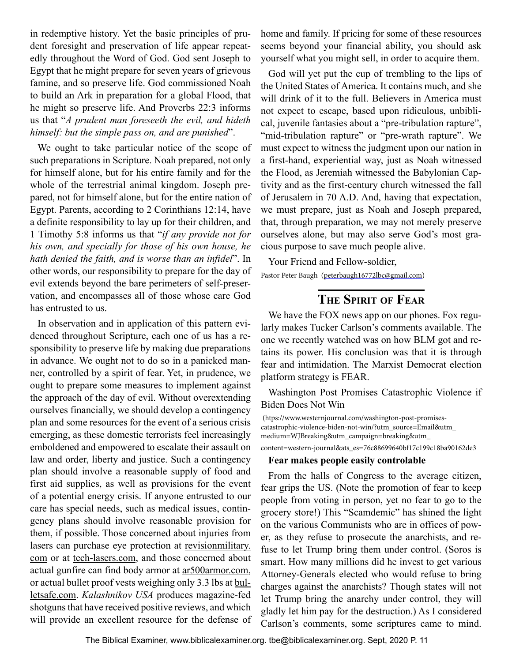<span id="page-10-0"></span>in redemptive history. Yet the basic principles of prudent foresight and preservation of life appear repeatedly throughout the Word of God. God sent Joseph to Egypt that he might prepare for seven years of grievous famine, and so preserve life. God commissioned Noah to build an Ark in preparation for a global Flood, that he might so preserve life. And Proverbs 22:3 informs us that "*A prudent man foreseeth the evil, and hideth himself: but the simple pass on, and are punished*".

We ought to take particular notice of the scope of such preparations in Scripture. Noah prepared, not only for himself alone, but for his entire family and for the whole of the terrestrial animal kingdom. Joseph prepared, not for himself alone, but for the entire nation of Egypt. Parents, according to 2 Corinthians 12:14, have a definite responsibility to lay up for their children, and 1 Timothy 5:8 informs us that "*if any provide not for his own, and specially for those of his own house, he hath denied the faith, and is worse than an infidel*". In other words, our responsibility to prepare for the day of evil extends beyond the bare perimeters of self-preservation, and encompasses all of those whose care God has entrusted to us.

In observation and in application of this pattern evidenced throughout Scripture, each one of us has a responsibility to preserve life by making due preparations in advance. We ought not to do so in a panicked manner, controlled by a spirit of fear. Yet, in prudence, we ought to prepare some measures to implement against the approach of the day of evil. Without overextending ourselves financially, we should develop a contingency plan and some resources for the event of a serious crisis emerging, as these domestic terrorists feel increasingly emboldened and empowered to escalate their assault on law and order, liberty and justice. Such a contingency plan should involve a reasonable supply of food and first aid supplies, as well as provisions for the event of a potential energy crisis. If anyone entrusted to our care has special needs, such as medical issues, contingency plans should involve reasonable provision for them, if possible. Those concerned about injuries from lasers can purchase eye protection at revisionmilitary. com or at tech-lasers.com, and those concerned about actual gunfire can find body armor at ar500armor.com, or actual bullet proof vests weighing only 3.3 lbs at bulletsafe.com. *Kalashnikov USA* produces magazine-fed shotguns that have received positive reviews, and which will provide an excellent resource for the defense of home and family. If pricing for some of these resources seems beyond your financial ability, you should ask yourself what you might sell, in order to acquire them.

God will yet put the cup of trembling to the lips of the United States of America. It contains much, and she will drink of it to the full. Believers in America must not expect to escape, based upon ridiculous, unbiblical, juvenile fantasies about a "pre-tribulation rapture", "mid-tribulation rapture" or "pre-wrath rapture". We must expect to witness the judgment upon our nation in a first-hand, experiential way, just as Noah witnessed the Flood, as Jeremiah witnessed the Babylonian Captivity and as the first-century church witnessed the fall of Jerusalem in 70 A.D. And, having that expectation, we must prepare, just as Noah and Joseph prepared, that, through preparation, we may not merely preserve ourselves alone, but may also serve God's most gracious purpose to save much people alive.

Your Friend and Fellow-soldier, Pastor Peter Baugh [\(peterbaugh16772lbc@gmail.com\)](mailto:peterbaugh16772lbc@gmail.com)

# **The Spirit of Fear**

We have the FOX news app on our phones. Fox regularly makes Tucker Carlson's comments available. The one we recently watched was on how BLM got and retains its power. His conclusion was that it is through fear and intimidation. The Marxist Democrat election platform strategy is FEAR.

Washington Post Promises Catastrophic Violence if Biden Does Not Win

 (htps://www.westernjournal.com/washington-post-promisescatastrophic-violence-biden-not-win/?utm\_source=Email&utm\_ medium=WJBreaking&utm\_campaign=breaking&utm\_

content=western-journal&ats\_es=76c88699640bf17c199c18ba90162de3

## **Fear makes people easily controlable**

From the halls of Congress to the average citizen, fear grips the US. (Note the promotion of fear to keep people from voting in person, yet no fear to go to the grocery store!) This "Scamdemic" has shined the light on the various Communists who are in offices of power, as they refuse to prosecute the anarchists, and refuse to let Trump bring them under control. (Soros is smart. How many millions did he invest to get various Attorney-Generals elected who would refuse to bring charges against the anarchists? Though states will not let Trump bring the anarchy under control, they will gladly let him pay for the destruction.) As I considered Carlson's comments, some scriptures came to mind.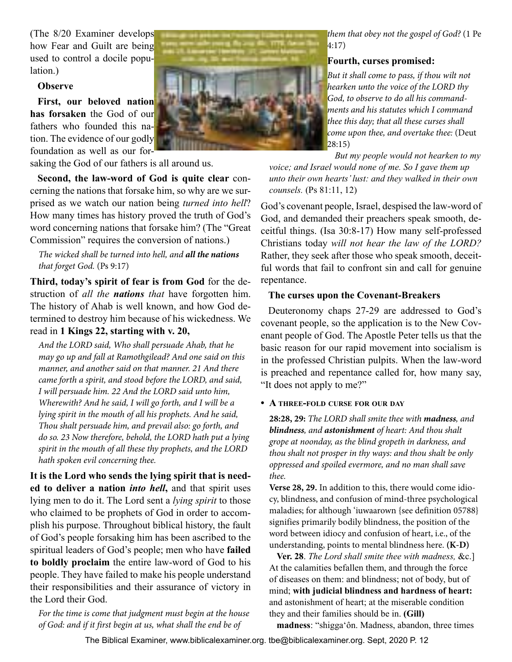(The 8/20 Examiner develops how Fear and Guilt are being used to control a docile population.)

## **Observe**

**First, our beloved nation has forsaken** the God of our fathers who founded this nation. The evidence of our godly foundation as well as our for-

saking the God of our fathers is all around us.

**Second, the law-word of God is quite clear** concerning the nations that forsake him, so why are we surprised as we watch our nation being *turned into hell*? How many times has history proved the truth of God's word concerning nations that forsake him? (The "Great Commission" requires the conversion of nations.)

*The wicked shall be turned into hell, and all the nations that forget God.* (Ps 9:17)

**Third, today's spirit of fear is from God** for the destruction of *all the nations that* have forgotten him. The history of Ahab is well known, and how God determined to destroy him because of his wickedness. We read in **1 Kings 22, starting with v. 20,**

*And the LORD said, Who shall persuade Ahab, that he may go up and fall at Ramothgilead? And one said on this manner, and another said on that manner. 21 And there came forth a spirit, and stood before the LORD, and said, I will persuade him. 22 And the LORD said unto him, Wherewith? And he said, I will go forth, and I will be a lying spirit in the mouth of all his prophets. And he said, Thou shalt persuade him, and prevail also: go forth, and do so. 23 Now therefore, behold, the LORD hath put a lying spirit in the mouth of all these thy prophets, and the LORD hath spoken evil concerning thee.*

**It is the Lord who sends the lying spirit that is needed to deliver a nation** *into hell***,** and that spirit uses lying men to do it. The Lord sent a *lying spirit* to those who claimed to be prophets of God in order to accomplish his purpose. Throughout biblical history, the fault of God's people forsaking him has been ascribed to the spiritual leaders of God's people; men who have **failed to boldly proclaim** the entire law-word of God to his people. They have failed to make his people understand their responsibilities and their assurance of victory in the Lord their God.

*For the time is come that judgment must begin at the house of God: and if it first begin at us, what shall the end be of* 



*them that obey not the gospel of God?* (1 Pe 4:17)

## **Fourth, curses promised:**

*But it shall come to pass, if thou wilt not hearken unto the voice of the LORD thy God, to observe to do all his commandments and his statutes which I command thee this day; that all these curses shall come upon thee, and overtake thee:* (Deut  $|28:15\rangle$ 

*But my people would not hearken to my voice; and Israel would none of me. So I gave them up unto their own hearts' lust: and they walked in their own counsels.* (Ps 81:11, 12)

God's covenant people, Israel, despised the law-word of God, and demanded their preachers speak smooth, deceitful things. (Isa 30:8-17) How many self-professed Christians today *will not hear the law of the LORD?* Rather, they seek after those who speak smooth, deceitful words that fail to confront sin and call for genuine repentance.

## **The curses upon the Covenant-Breakers**

Deuteronomy chaps 27-29 are addressed to God's covenant people, so the application is to the New Covenant people of God. The Apostle Peter tells us that the basic reason for our rapid movement into socialism is in the professed Christian pulpits. When the law-word is preached and repentance called for, how many say, "It does not apply to me?"

#### **• A three-fold curse for our day**

**28:28, 29:** *The LORD shall smite thee with madness, and blindness, and astonishment of heart: And thou shalt grope at noonday, as the blind gropeth in darkness, and thou shalt not prosper in thy ways: and thou shalt be only oppressed and spoiled evermore, and no man shall save thee.*

**Verse 28, 29.** In addition to this, there would come idiocy, blindness, and confusion of mind-three psychological maladies; for although 'iuwaarown {see definition 05788} signifies primarily bodily blindness, the position of the word between idiocy and confusion of heart, i.e., of the understanding, points to mental blindness here. **(K-D)**

**Ver. 28**. *The Lord shall smite thee with madness,* &c.] At the calamities befallen them, and through the force of diseases on them: and blindness; not of body, but of mind; **with judicial blindness and hardness of heart:** and astonishment of heart; at the miserable condition they and their families should be in. **(Gill)**

**madness**: "shigga'ôn. Madness, abandon, three times

The Biblical Examiner, [www.biblicalexaminer.org.](www.biblicalexaminer.org) [tbe@biblicalexaminer.org.](mailto:tbe@biblicalexaminer.org) Sept, 2020 P. 12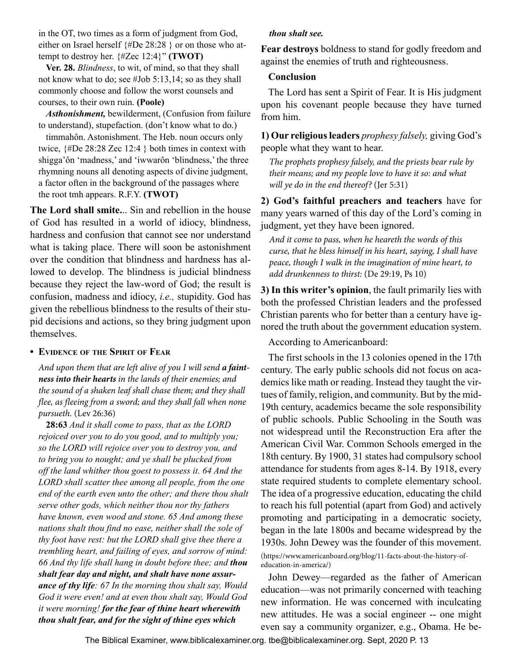in the OT, two times as a form of judgment from God, either on Israel herself {#De 28:28 } or on those who attempt to destroy her. {#Zec 12:4}" **(TWOT)**

**Ver. 28.** *Blindness*, to wit, of mind, so that they shall not know what to do; see #Job 5:13,14; so as they shall commonly choose and follow the worst counsels and courses, to their own ruin. **(Poole)**

*Asthonishment,* bewilderment, (Confusion from failure to understand), stupefaction. (don't know what to do.)

timmahôn. Astonishment. The Heb. noun occurs only twice, {#De 28:28 Zec 12:4 } both times in context with shigga'ôn 'madness,' and 'iwwarôn 'blindness,' the three rhymning nouns all denoting aspects of divine judgment, a factor often in the background of the passages where the root tmh appears. R.F.Y. **(TWOT)**

**The Lord shall smite.**.. Sin and rebellion in the house of God has resulted in a world of idiocy, blindness, hardness and confusion that cannot see nor understand what is taking place. There will soon be astonishment over the condition that blindness and hardness has allowed to develop. The blindness is judicial blindness because they reject the law-word of God; the result is confusion, madness and idiocy, *i.e.,* stupidity. God has given the rebellious blindness to the results of their stupid decisions and actions, so they bring judgment upon themselves.

## **• Evidence of the Spirit of Fear**

And upon them that are left alive of you I will send a faint*ness into their hearts in the lands of their enemies; and the sound of a shaken leaf shall chase them; and they shall flee, as fleeing from a sword; and they shall fall when none pursueth.* (Lev 26:36)

**28:63** *And it shall come to pass, that as the LORD rejoiced over you to do you good, and to multiply you; so the LORD will rejoice over you to destroy you, and to bring you to nought; and ye shall be plucked from off the land whither thou goest to possess it. 64 And the LORD shall scatter thee among all people, from the one end of the earth even unto the other; and there thou shalt serve other gods, which neither thou nor thy fathers have known, even wood and stone. 65 And among these nations shalt thou find no ease, neither shall the sole of thy foot have rest: but the LORD shall give thee there a trembling heart, and failing of eyes, and sorrow of mind: 66 And thy life shall hang in doubt before thee; and thou shalt fear day and night, and shalt have none assurance of thy life: 67 In the morning thou shalt say, Would God it were even! and at even thou shalt say, Would God it were morning! for the fear of thine heart wherewith thou shalt fear, and for the sight of thine eyes which* 

#### *thou shalt see.*

**Fear destroys** boldness to stand for godly freedom and against the enemies of truth and righteousness.

## **Conclusion**

The Lord has sent a Spirit of Fear. It is His judgment upon his covenant people because they have turned from him.

**1) Our religious leaders** *prophesy falsely,* giving God's people what they want to hear.

*The prophets prophesy falsely, and the priests bear rule by their means; and my people love to have it so: and what will ye do in the end thereof?* (Jer 5:31)

**2) God's faithful preachers and teachers** have for many years warned of this day of the Lord's coming in judgment, yet they have been ignored.

*And it come to pass, when he heareth the words of this curse, that he bless himself in his heart, saying, I shall have peace, though I walk in the imagination of mine heart, to add drunkenness to thirst:* (De 29:19, Ps 10)

**3) In this writer's opinion**, the fault primarily lies with both the professed Christian leaders and the professed Christian parents who for better than a century have ignored the truth about the government education system.

According to Americanboard:

The first schools in the 13 colonies opened in the 17th century. The early public schools did not focus on academics like math or reading. Instead they taught the virtues of family, religion, and community. But by the mid-19th century, academics became the sole responsibility of public schools. Public Schooling in the South was not widespread until the Reconstruction Era after the American Civil War. Common Schools emerged in the 18th century. By 1900, 31 states had compulsory school attendance for students from ages 8-14. By 1918, every state required students to complete elementary school. The idea of a progressive education, educating the child to reach his full potential (apart from God) and actively promoting and participating in a democratic society, began in the late 1800s and became widespread by the 1930s. John Dewey was the founder of this movement. (https://www.americanboard.org/blog/11-facts-about-the-history-ofeducation-in-america/)

John Dewey—regarded as the father of American education—was not primarily concerned with teaching new information. He was concerned with inculcating new attitudes. He was a social engineer -- one might even say a community organizer, e.g., Obama. He be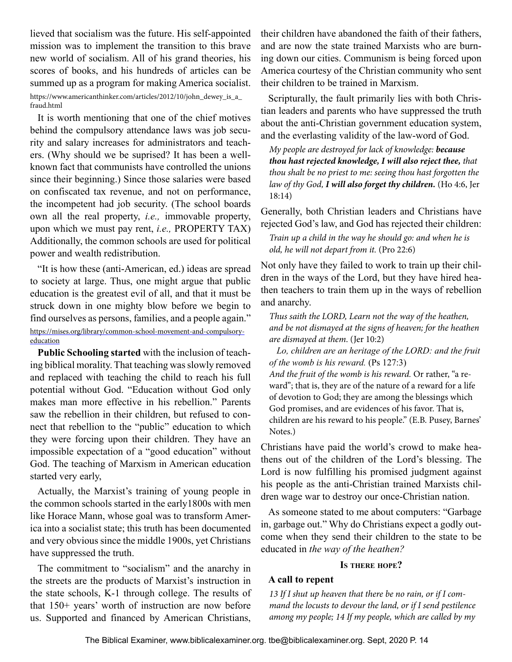lieved that socialism was the future. His self-appointed mission was to implement the transition to this brave new world of socialism. All of his grand theories, his scores of books, and his hundreds of articles can be summed up as a program for making America socialist. https://www.americanthinker.com/articles/2012/10/john\_dewey\_is\_a\_ fraud.html

It is worth mentioning that one of the chief motives behind the compulsory attendance laws was job security and salary increases for administrators and teachers. (Why should we be suprised? It has been a wellknown fact that communists have controlled the unions since their beginning.) Since those salaries were based on confiscated tax revenue, and not on performance, the incompetent had job security. (The school boards own all the real property, *i.e.,* immovable property, upon which we must pay rent, *i.e.,* PROPERTY TAX) Additionally, the common schools are used for political power and wealth redistribution.

"It is how these (anti-American, ed.) ideas are spread to society at large. Thus, one might argue that public education is the greatest evil of all, and that it must be struck down in one mighty blow before we begin to find ourselves as persons, families, and a people again." [https://mises.org/library/common-school-movement-and-compulsory](https://mises.org/library/common-school-movement-and-compulsory-education)[education](https://mises.org/library/common-school-movement-and-compulsory-education)

**Public Schooling started** with the inclusion of teaching biblical morality. That teaching was slowly removed and replaced with teaching the child to reach his full potential without God. "Education without God only makes man more effective in his rebellion." Parents saw the rebellion in their children, but refused to connect that rebellion to the "public" education to which they were forcing upon their children. They have an impossible expectation of a "good education" without God. The teaching of Marxism in American education started very early,

Actually, the Marxist's training of young people in the common schools started in the early1800s with men like Horace Mann, whose goal was to transform America into a socialist state; this truth has been documented and very obvious since the middle 1900s, yet Christians have suppressed the truth.

The commitment to "socialism" and the anarchy in the streets are the products of Marxist's instruction in the state schools, K-1 through college. The results of that 150+ years' worth of instruction are now before us. Supported and financed by American Christians,

their children have abandoned the faith of their fathers, and are now the state trained Marxists who are burning down our cities. Communism is being forced upon America courtesy of the Christian community who sent their children to be trained in Marxism.

Scripturally, the fault primarily lies with both Christian leaders and parents who have suppressed the truth about the anti-Christian government education system, and the everlasting validity of the law-word of God.

*My people are destroyed for lack of knowledge: because thou hast rejected knowledge, I will also reject thee, that thou shalt be no priest to me: seeing thou hast forgotten the law of thy God, I will also forget thy children.* (Ho 4:6, Jer 18:14)

Generally, both Christian leaders and Christians have rejected God's law, and God has rejected their children:

*Train up a child in the way he should go: and when he is old, he will not depart from it.* (Pro 22:6)

Not only have they failed to work to train up their children in the ways of the Lord, but they have hired heathen teachers to train them up in the ways of rebellion and anarchy.

*Thus saith the LORD, Learn not the way of the heathen, and be not dismayed at the signs of heaven; for the heathen are dismayed at them*. (Jer 10:2)

*Lo, children are an heritage of the LORD: and the fruit of the womb is his reward.* (Ps 127:3)

*And the fruit of the womb is his reward.* Or rather, "a reward"; that is, they are of the nature of a reward for a life of devotion to God; they are among the blessings which God promises, and are evidences of his favor. That is, children are his reward to his people." (E.B. Pusey, Barnes' Notes.)

Christians have paid the world's crowd to make heathens out of the children of the Lord's blessing. The Lord is now fulfilling his promised judgment against his people as the anti-Christian trained Marxists children wage war to destroy our once-Christian nation.

As someone stated to me about computers: "Garbage in, garbage out." Why do Christians expect a godly outcome when they send their children to the state to be educated in *the way of the heathen?*

## **Is there hope?**

## **A call to repent**

*13 If I shut up heaven that there be no rain, or if I command the locusts to devour the land, or if I send pestilence among my people; 14 If my people, which are called by my*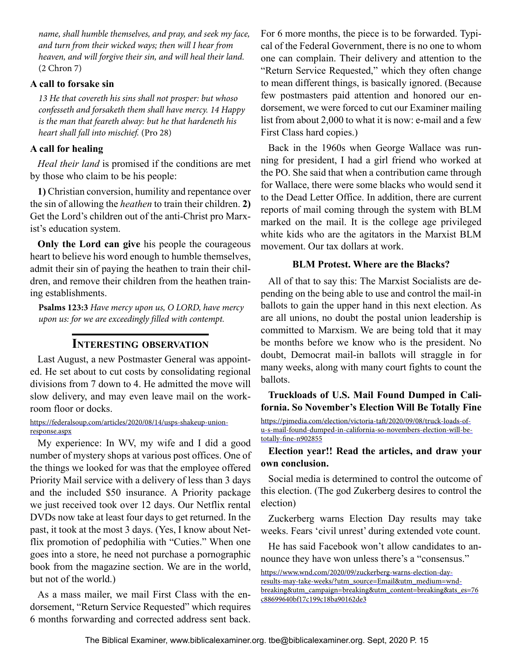<span id="page-14-0"></span>*name, shall humble themselves, and pray, and seek my face, and turn from their wicked ways; then will I hear from heaven, and will forgive their sin, and will heal their land.*  (2 Chron 7)

## **A call to forsake sin**

*13 He that covereth his sins shall not prosper: but whoso confesseth and forsaketh them shall have mercy. 14 Happy is the man that feareth alway: but he that hardeneth his heart shall fall into mischief.* (Pro 28)

## **A call for healing**

*Heal their land* is promised if the conditions are met by those who claim to be his people:

**1)** Christian conversion, humility and repentance over the sin of allowing the *heathen* to train their children. **2)**  Get the Lord's children out of the anti-Christ pro Marxist's education system.

**Only the Lord can give** his people the courageous heart to believe his word enough to humble themselves, admit their sin of paying the heathen to train their children, and remove their children from the heathen training establishments.

**Psalms 123:3** *Have mercy upon us, O LORD, have mercy upon us: for we are exceedingly filled with contempt.*

## **Interesting observation**

Last August, a new Postmaster General was appointed. He set about to cut costs by consolidating regional divisions from 7 down to 4. He admitted the move will slow delivery, and may even leave mail on the workroom floor or docks.

## [https://federalsoup.com/articles/2020/08/14/usps-shakeup-union](https://federalsoup.com/articles/2020/08/14/usps-shakeup-union-response.aspx)[response.aspx](https://federalsoup.com/articles/2020/08/14/usps-shakeup-union-response.aspx)

My experience: In WV, my wife and I did a good number of mystery shops at various post offices. One of the things we looked for was that the employee offered Priority Mail service with a delivery of less than 3 days and the included \$50 insurance. A Priority package we just received took over 12 days. Our Netflix rental DVDs now take at least four days to get returned. In the past, it took at the most 3 days. (Yes, I know about Netflix promotion of pedophilia with "Cuties." When one goes into a store, he need not purchase a pornographic book from the magazine section. We are in the world, but not of the world.)

As a mass mailer, we mail First Class with the endorsement, "Return Service Requested" which requires 6 months forwarding and corrected address sent back.

For 6 more months, the piece is to be forwarded. Typical of the Federal Government, there is no one to whom one can complain. Their delivery and attention to the "Return Service Requested," which they often change to mean different things, is basically ignored. (Because few postmasters paid attention and honored our endorsement, we were forced to cut our Examiner mailing list from about 2,000 to what it is now: e-mail and a few First Class hard copies.)

Back in the 1960s when George Wallace was running for president, I had a girl friend who worked at the PO. She said that when a contribution came through for Wallace, there were some blacks who would send it to the Dead Letter Office. In addition, there are current reports of mail coming through the system with BLM marked on the mail. It is the college age privileged white kids who are the agitators in the Marxist BLM movement. Our tax dollars at work.

## **BLM Protest. Where are the Blacks?**

All of that to say this: The Marxist Socialists are depending on the being able to use and control the mail-in ballots to gain the upper hand in this next election. As are all unions, no doubt the postal union leadership is committed to Marxism. We are being told that it may be months before we know who is the president. No doubt, Democrat mail-in ballots will straggle in for many weeks, along with many court fights to count the ballots.

## **Truckloads of U.S. Mail Found Dumped in California. So November's Election Will Be Totally Fine**

[https://pjmedia.com/election/victoria-taft/2020/09/08/truck-loads-of](https://pjmedia.com/election/victoria-taft/2020/09/08/truck-loads-of-u-s-mail-found-dumped-in-california-so-novembers-election-will-be-totally-fine-n902855)[u-s-mail-found-dumped-in-california-so-novembers-election-will-be](https://pjmedia.com/election/victoria-taft/2020/09/08/truck-loads-of-u-s-mail-found-dumped-in-california-so-novembers-election-will-be-totally-fine-n902855)[totally-fine-n902855](https://pjmedia.com/election/victoria-taft/2020/09/08/truck-loads-of-u-s-mail-found-dumped-in-california-so-novembers-election-will-be-totally-fine-n902855)

## **Election year!! Read the articles, and draw your own conclusion.**

Social media is determined to control the outcome of this election. (The god Zukerberg desires to control the election)

Zuckerberg warns Election Day results may take weeks. Fears 'civil unrest' during extended vote count.

He has said Facebook won't allow candidates to announce they have won unless there's a "consensus."

[https://www.wnd.com/2020/09/zuckerberg-warns-election-day](https://www.wnd.com/2020/09/zuckerberg-warns-election-day-results-may-take-weeks/?utm_source=Email&utm_medium=wnd-breaking&utm_campaign=breaking&utm_content=breaking&ats_es=76c88699640bf17c199c18ba90162de3)[results-may-take-weeks/?utm\\_source=Email&utm\\_medium=wnd](https://www.wnd.com/2020/09/zuckerberg-warns-election-day-results-may-take-weeks/?utm_source=Email&utm_medium=wnd-breaking&utm_campaign=breaking&utm_content=breaking&ats_es=76c88699640bf17c199c18ba90162de3)[breaking&utm\\_campaign=breaking&utm\\_content=breaking&ats\\_es=76](https://www.wnd.com/2020/09/zuckerberg-warns-election-day-results-may-take-weeks/?utm_source=Email&utm_medium=wnd-breaking&utm_campaign=breaking&utm_content=breaking&ats_es=76c88699640bf17c199c18ba90162de3) [c88699640bf17c199c18ba90162de3](https://www.wnd.com/2020/09/zuckerberg-warns-election-day-results-may-take-weeks/?utm_source=Email&utm_medium=wnd-breaking&utm_campaign=breaking&utm_content=breaking&ats_es=76c88699640bf17c199c18ba90162de3)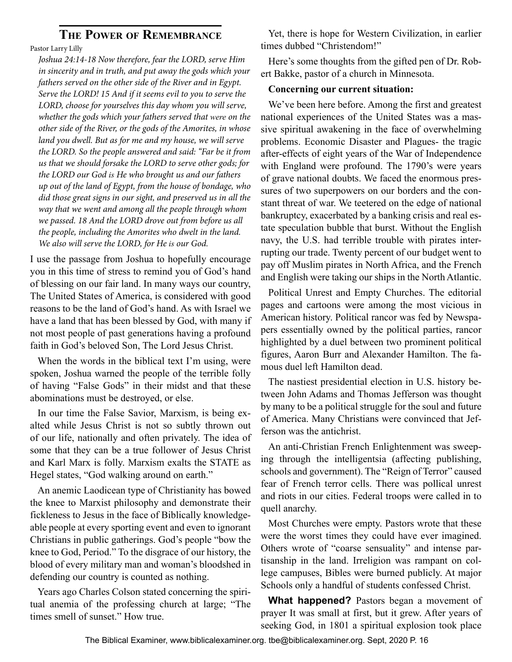# **The Power of Remembrance**

#### <span id="page-15-0"></span>Pastor Larry Lilly

*Joshua 24:14-18 Now therefore, fear the LORD, serve Him in sincerity and in truth, and put away the gods which your fathers served on the other side of the River and in Egypt. Serve the LORD! 15 And if it seems evil to you to serve the LORD, choose for yourselves this day whom you will serve, whether the gods which your fathers served that were on the other side of the River, or the gods of the Amorites, in whose land you dwell. But as for me and my house, we will serve the LORD. So the people answered and said: "Far be it from us that we should forsake the LORD to serve other gods; for the LORD our God is He who brought us and our fathers up out of the land of Egypt, from the house of bondage, who did those great signs in our sight, and preserved us in all the way that we went and among all the people through whom we passed. 18 And the LORD drove out from before us all the people, including the Amorites who dwelt in the land. We also will serve the LORD, for He is our God.*

I use the passage from Joshua to hopefully encourage you in this time of stress to remind you of God's hand of blessing on our fair land. In many ways our country, The United States of America, is considered with good reasons to be the land of God's hand. As with Israel we have a land that has been blessed by God, with many if not most people of past generations having a profound faith in God's beloved Son, The Lord Jesus Christ.

When the words in the biblical text I'm using, were spoken, Joshua warned the people of the terrible folly of having "False Gods" in their midst and that these abominations must be destroyed, or else.

In our time the False Savior, Marxism, is being exalted while Jesus Christ is not so subtly thrown out of our life, nationally and often privately. The idea of some that they can be a true follower of Jesus Christ and Karl Marx is folly. Marxism exalts the STATE as Hegel states, "God walking around on earth."

An anemic Laodicean type of Christianity has bowed the knee to Marxist philosophy and demonstrate their fickleness to Jesus in the face of Biblically knowledgeable people at every sporting event and even to ignorant Christians in public gatherings. God's people "bow the knee to God, Period." To the disgrace of our history, the blood of every military man and woman's bloodshed in defending our country is counted as nothing.

Years ago Charles Colson stated concerning the spiritual anemia of the professing church at large; "The times smell of sunset." How true.

Yet, there is hope for Western Civilization, in earlier times dubbed "Christendom!"

Here's some thoughts from the gifted pen of Dr. Robert Bakke, pastor of a church in Minnesota.

## **Concerning our current situation:**

We've been here before. Among the first and greatest national experiences of the United States was a massive spiritual awakening in the face of overwhelming problems. Economic Disaster and Plagues- the tragic after-effects of eight years of the War of Independence with England were profound. The 1790's were years of grave national doubts. We faced the enormous pressures of two superpowers on our borders and the constant threat of war. We teetered on the edge of national bankruptcy, exacerbated by a banking crisis and real estate speculation bubble that burst. Without the English navy, the U.S. had terrible trouble with pirates interrupting our trade. Twenty percent of our budget went to pay off Muslim pirates in North Africa, and the French and English were taking our ships in the North Atlantic.

Political Unrest and Empty Churches. The editorial pages and cartoons were among the most vicious in American history. Political rancor was fed by Newspapers essentially owned by the political parties, rancor highlighted by a duel between two prominent political figures, Aaron Burr and Alexander Hamilton. The famous duel left Hamilton dead.

The nastiest presidential election in U.S. history between John Adams and Thomas Jefferson was thought by many to be a political struggle for the soul and future of America. Many Christians were convinced that Jefferson was the antichrist.

An anti-Christian French Enlightenment was sweeping through the intelligentsia (affecting publishing, schools and government). The "Reign of Terror" caused fear of French terror cells. There was pollical unrest and riots in our cities. Federal troops were called in to quell anarchy.

Most Churches were empty. Pastors wrote that these were the worst times they could have ever imagined. Others wrote of "coarse sensuality" and intense partisanship in the land. Irreligion was rampant on college campuses, Bibles were burned publicly. At major Schools only a handful of students confessed Christ.

**What happened?** Pastors began a movement of prayer It was small at first, but it grew. After years of seeking God, in 1801 a spiritual explosion took place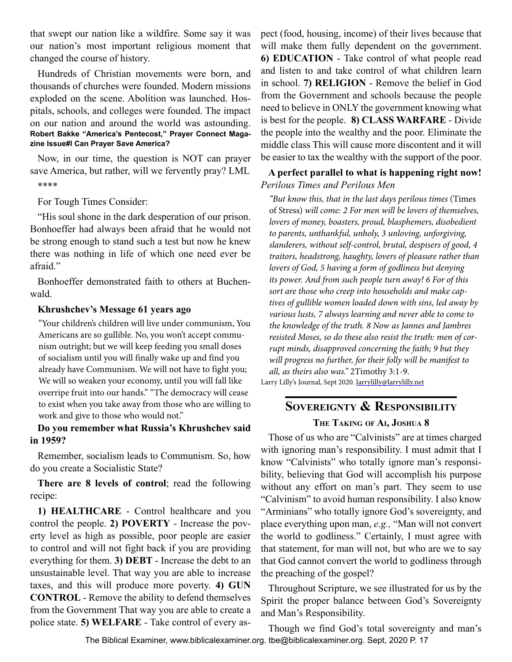<span id="page-16-0"></span>that swept our nation like a wildfire. Some say it was our nation's most important religious moment that changed the course of history.

Hundreds of Christian movements were born, and thousands of churches were founded. Modern missions exploded on the scene. Abolition was launched. Hospitals, schools, and colleges were founded. The impact on our nation and around the world was astounding. **Robert Bakke "America's Pentecost," Prayer Connect Magazine lssue#l Can Prayer Save America?**

Now, in our time, the question is NOT can prayer save America, but rather, will we fervently pray? LML

\*\*\*\*

For Tough Times Consider:

"His soul shone in the dark desperation of our prison. Bonhoeffer had always been afraid that he would not be strong enough to stand such a test but now he knew there was nothing in life of which one need ever be afraid."

Bonhoeffer demonstrated faith to others at Buchenwald.

## **Khrushchev's Message 61 years ago**

"Your children's children will live under communism, You Americans are so gullible. No, you won't accept communism outright; but we will keep feeding you small doses of socialism until you will finally wake up and find you already have Communism. We will not have to fight you; We will so weaken your economy, until you will fall like overripe fruit into our hands." "The democracy will cease to exist when you take away from those who are willing to work and give to those who would not."

## **Do you remember what Russia's Khrushchev said in 1959?**

Remember, socialism leads to Communism. So, how do you create a Socialistic State?

**There are 8 levels of control**; read the following recipe:

**1) HEALTHCARE** - Control healthcare and you control the people. **2) POVERTY** - Increase the poverty level as high as possible, poor people are easier to control and will not fight back if you are providing everything for them. **3) DEBT** - Increase the debt to an unsustainable level. That way you are able to increase taxes, and this will produce more poverty. **4) GUN CONTROL** - Remove the ability to defend themselves from the Government That way you are able to create a police state. **5) WELFARE** - Take control of every aspect (food, housing, income) of their lives because that will make them fully dependent on the government. **6) EDUCATION** - Take control of what people read and listen to and take control of what children learn in school. **7) RELIGION** - Remove the belief in God from the Government and schools because the people need to believe in ONLY the government knowing what is best for the people. **8) CLASS WARFARE** - Divide the people into the wealthy and the poor. Eliminate the middle class This will cause more discontent and it will be easier to tax the wealthy with the support of the poor.

## **A perfect parallel to what is happening right now!**  *Perilous Times and Perilous Men*

*"But know this, that in the last days perilous times* (Times of Stress) *will come: 2 For men will be lovers of themselves, lovers of money, boasters, proud, blasphemers, disobedient to parents, unthankful, unholy, 3 unloving, unforgiving, slanderers, without self-control, brutal, despisers of good, 4 traitors, headstrong, haughty, lovers of pleasure rather than lovers of God, 5 having a form of godliness but denying its power. And from such people turn away! 6 For of this sort are those who creep into households and make captives of gullible women loaded down with sins, led away by various lusts, 7 always learning and never able to come to the knowledge of the truth. 8 Now as Jannes and Jambres resisted Moses, so do these also resist the truth: men of corrupt minds, disapproved concerning the faith; 9 but they will progress no further, for their folly will be manifest to all, as theirs also was."* 2Timothy 3:1-9.

Larry Lilly's Journal, Sept 2020. [larrylilly@larrylilly.net](mailto:larrylilly@larrylilly.net)

# **Sovereignty & Responsibility**

## **The Taking of Ai, Joshua 8**

Those of us who are "Calvinists" are at times charged with ignoring man's responsibility. I must admit that I know "Calvinists" who totally ignore man's responsibility, believing that God will accomplish his purpose without any effort on man's part. They seem to use "Calvinism" to avoid human responsibility. I also know "Arminians" who totally ignore God's sovereignty, and place everything upon man, *e.g.,* "Man will not convert the world to godliness." Certainly, I must agree with that statement, for man will not, but who are we to say that God cannot convert the world to godliness through the preaching of the gospel?

Throughout Scripture, we see illustrated for us by the Spirit the proper balance between God's Sovereignty and Man's Responsibility.

The Biblical Examiner, [www.biblicalexaminer.org.](www.biblicalexaminer.org) [tbe@biblicalexaminer.org.](mailto:tbe@biblicalexaminer.org) Sept, 2020 P. 17 Though we find God's total sovereignty and man's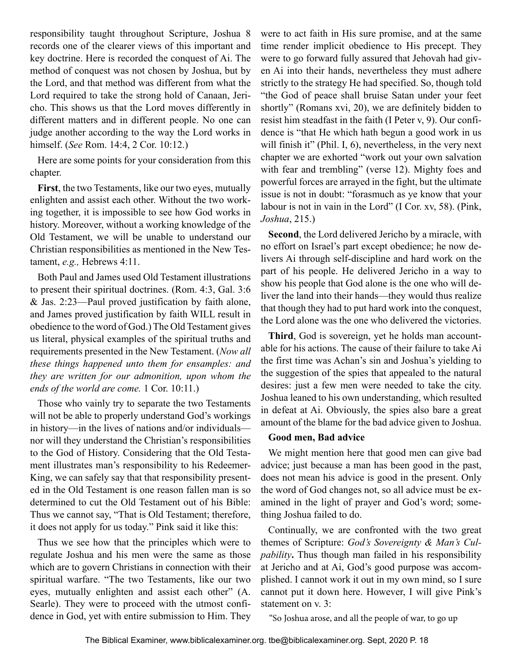responsibility taught throughout Scripture, Joshua 8 records one of the clearer views of this important and key doctrine. Here is recorded the conquest of Ai. The method of conquest was not chosen by Joshua, but by the Lord, and that method was different from what the Lord required to take the strong hold of Canaan, Jericho. This shows us that the Lord moves differently in different matters and in different people. No one can judge another according to the way the Lord works in himself. (*See* Rom. 14:4, 2 Cor. 10:12.)

Here are some points for your consideration from this chapter.

**First**, the two Testaments, like our two eyes, mutually enlighten and assist each other. Without the two working together, it is impossible to see how God works in history. Moreover, without a working knowledge of the Old Testament, we will be unable to understand our Christian responsibilities as mentioned in the New Testament, *e.g.,* Hebrews 4:11.

Both Paul and James used Old Testament illustrations to present their spiritual doctrines. (Rom. 4:3, Gal. 3:6 & Jas. 2:23—Paul proved justification by faith alone, and James proved justification by faith WILL result in obedience to the word of God.) The Old Testament gives us literal, physical examples of the spiritual truths and requirements presented in the New Testament. (*Now all these things happened unto them for ensamples: and they are written for our admonition, upon whom the ends of the world are come.* 1 Cor. 10:11.)

Those who vainly try to separate the two Testaments will not be able to properly understand God's workings in history—in the lives of nations and/or individuals nor will they understand the Christian's responsibilities to the God of History. Considering that the Old Testament illustrates man's responsibility to his Redeemer-King, we can safely say that that responsibility presented in the Old Testament is one reason fallen man is so determined to cut the Old Testament out of his Bible: Thus we cannot say, "That is Old Testament; therefore, it does not apply for us today." Pink said it like this:

Thus we see how that the principles which were to regulate Joshua and his men were the same as those which are to govern Christians in connection with their spiritual warfare. "The two Testaments, like our two eyes, mutually enlighten and assist each other" (A. Searle). They were to proceed with the utmost confidence in God, yet with entire submission to Him. They were to act faith in His sure promise, and at the same time render implicit obedience to His precept. They were to go forward fully assured that Jehovah had given Ai into their hands, nevertheless they must adhere strictly to the strategy He had specified. So, though told "the God of peace shall bruise Satan under your feet shortly" (Romans xvi, 20), we are definitely bidden to resist him steadfast in the faith (I Peter v, 9). Our confidence is "that He which hath begun a good work in us will finish it" (Phil. I, 6), nevertheless, in the very next chapter we are exhorted "work out your own salvation with fear and trembling" (verse 12). Mighty foes and powerful forces are arrayed in the fight, but the ultimate issue is not in doubt: "forasmuch as ye know that your labour is not in vain in the Lord" (I Cor. xv, 58). (Pink, *Joshua*, 215.)

**Second**, the Lord delivered Jericho by a miracle, with no effort on Israel's part except obedience; he now delivers Ai through self-discipline and hard work on the part of his people. He delivered Jericho in a way to show his people that God alone is the one who will deliver the land into their hands—they would thus realize that though they had to put hard work into the conquest, the Lord alone was the one who delivered the victories.

**Third**, God is sovereign, yet he holds man accountable for his actions. The cause of their failure to take Ai the first time was Achan's sin and Joshua's yielding to the suggestion of the spies that appealed to the natural desires: just a few men were needed to take the city. Joshua leaned to his own understanding, which resulted in defeat at Ai. Obviously, the spies also bare a great amount of the blame for the bad advice given to Joshua.

## **Good men, Bad advice**

We might mention here that good men can give bad advice; just because a man has been good in the past, does not mean his advice is good in the present. Only the word of God changes not, so all advice must be examined in the light of prayer and God's word; something Joshua failed to do.

Continually, we are confronted with the two great themes of Scripture: *God's Sovereignty & Man's Culpability***.** Thus though man failed in his responsibility at Jericho and at Ai, God's good purpose was accomplished. I cannot work it out in my own mind, so I sure cannot put it down here. However, I will give Pink's statement on v. 3:

"So Joshua arose, and all the people of war, to go up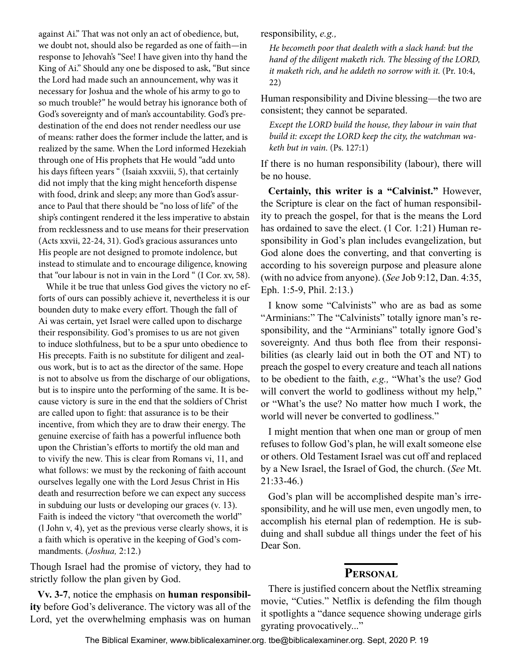against Ai." That was not only an act of obedience, but, we doubt not, should also be regarded as one of faith—in response to Jehovah's "See! I have given into thy hand the King of Ai." Should any one be disposed to ask, "But since the Lord had made such an announcement, why was it necessary for Joshua and the whole of his army to go to so much trouble?" he would betray his ignorance both of God's sovereignty and of man's accountability. God's predestination of the end does not render needless our use of means: rather does the former include the latter, and is realized by the same. When the Lord informed Hezekiah through one of His prophets that He would "add unto his days fifteen years " (Isaiah xxxviii, 5), that certainly did not imply that the king might henceforth dispense with food, drink and sleep; any more than God's assurance to Paul that there should be "no loss of life" of the ship's contingent rendered it the less imperative to abstain from recklessness and to use means for their preservation (Acts xxvii, 22-24, 31). God's gracious assurances unto His people are not designed to promote indolence, but instead to stimulate and to encourage diligence, knowing that "our labour is not in vain in the Lord " (I Cor. xv, 58).

While it be true that unless God gives the victory no efforts of ours can possibly achieve it, nevertheless it is our bounden duty to make every effort. Though the fall of Ai was certain, yet Israel were called upon to discharge their responsibility. God's promises to us are not given to induce slothfulness, but to be a spur unto obedience to His precepts. Faith is no substitute for diligent and zealous work, but is to act as the director of the same. Hope is not to absolve us from the discharge of our obligations, but is to inspire unto the performing of the same. It is because victory is sure in the end that the soldiers of Christ are called upon to fight: that assurance is to be their incentive, from which they are to draw their energy. The genuine exercise of faith has a powerful influence both upon the Christian's efforts to mortify the old man and to vivify the new. This is clear from Romans vi, 11, and what follows: we must by the reckoning of faith account ourselves legally one with the Lord Jesus Christ in His death and resurrection before we can expect any success in subduing our lusts or developing our graces (v. 13). Faith is indeed the victory "that overcometh the world" (l John v, 4), yet as the previous verse clearly shows, it is a faith which is operative in the keeping of God's commandments. (*Joshua,* 2:12.)

Though Israel had the promise of victory, they had to strictly follow the plan given by God.

**Vv. 3-7**, notice the emphasis on **human responsibility** before God's deliverance. The victory was all of the Lord, yet the overwhelming emphasis was on human responsibility, *e.g.,*

*He becometh poor that dealeth with a slack hand: but the hand of the diligent maketh rich. The blessing of the LORD, it maketh rich, and he addeth no sorrow with it.* (Pr. 10:4, 22)

Human responsibility and Divine blessing—the two are consistent; they cannot be separated.

*Except the LORD build the house, they labour in vain that build it: except the LORD keep the city, the watchman waketh but in vain.* (Ps. 127:1)

If there is no human responsibility (labour), there will be no house.

**Certainly, this writer is a "Calvinist."** However, the Scripture is clear on the fact of human responsibility to preach the gospel, for that is the means the Lord has ordained to save the elect. (1 Cor. 1:21) Human responsibility in God's plan includes evangelization, but God alone does the converting, and that converting is according to his sovereign purpose and pleasure alone (with no advice from anyone). (*See* Job 9:12, Dan. 4:35, Eph. 1:5-9, Phil. 2:13.)

I know some "Calvinists" who are as bad as some "Arminians:" The "Calvinists" totally ignore man's responsibility, and the "Arminians" totally ignore God's sovereignty. And thus both flee from their responsibilities (as clearly laid out in both the OT and NT) to preach the gospel to every creature and teach all nations to be obedient to the faith, *e.g.,* "What's the use? God will convert the world to godliness without my help," or "What's the use? No matter how much I work, the world will never be converted to godliness."

I might mention that when one man or group of men refuses to follow God's plan, he will exalt someone else or others. Old Testament Israel was cut off and replaced by a New Israel, the Israel of God, the church. (*See* Mt. 21:33-46.)

God's plan will be accomplished despite man's irresponsibility, and he will use men, even ungodly men, to accomplish his eternal plan of redemption. He is subduing and shall subdue all things under the feet of his Dear Son.

# **Personal**

There is justified concern about the Netflix streaming movie, "Cuties." Netflix is defending the film though it spotlights a "dance sequence showing underage girls gyrating provocatively..."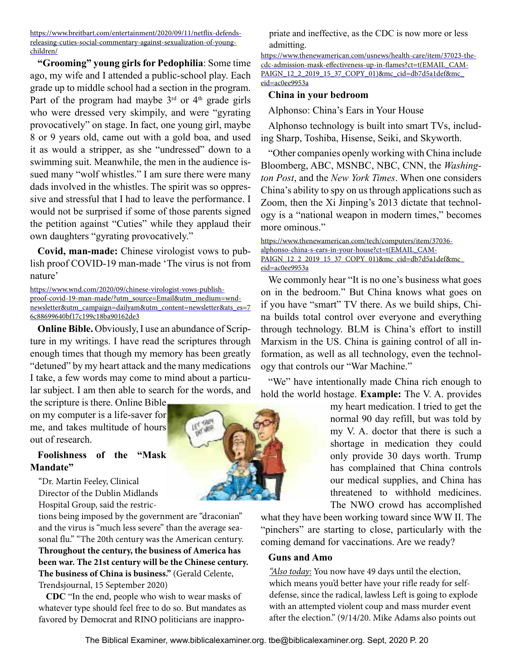<span id="page-19-0"></span>[https://www.breitbart.com/entertainment/2020/09/11/netflix-defends](https://www.breitbart.com/entertainment/2020/09/11/netflix-defends-releasing-cuties-social-commentary-against-sexualization-of-young-children/)[releasing-cuties-social-commentary-against-sexualization-of-young](https://www.breitbart.com/entertainment/2020/09/11/netflix-defends-releasing-cuties-social-commentary-against-sexualization-of-young-children/)[children/](https://www.breitbart.com/entertainment/2020/09/11/netflix-defends-releasing-cuties-social-commentary-against-sexualization-of-young-children/)

**"Grooming" young girls for Pedophilia**: Some time ago, my wife and I attended a public-school play. Each grade up to middle school had a section in the program. Part of the program had maybe  $3<sup>rd</sup>$  or  $4<sup>th</sup>$  grade girls who were dressed very skimpily, and were "gyrating provocatively" on stage. In fact, one young girl, maybe 8 or 9 years old, came out with a gold boa, and used it as would a stripper, as she "undressed" down to a swimming suit. Meanwhile, the men in the audience issued many "wolf whistles." I am sure there were many dads involved in the whistles. The spirit was so oppressive and stressful that I had to leave the performance. I would not be surprised if some of those parents signed the petition against "Cuties" while they applaud their own daughters "gyrating provocatively."

**Covid, man-made:** Chinese virologist vows to publish proof COVID-19 man-made 'The virus is not from nature'

[https://www.wnd.com/2020/09/chinese-virologist-vows-publish](https://www.wnd.com/2020/09/chinese-virologist-vows-publish-proof-covid-19-man-made/?utm_source=Email&utm_medium=wnd-newsletter&utm_campaign=dailyam&utm_content=newsletter&ats_es=76c88699640bf17c199c18ba90162de3)[proof-covid-19-man-made/?utm\\_source=Email&utm\\_medium=wnd](https://www.wnd.com/2020/09/chinese-virologist-vows-publish-proof-covid-19-man-made/?utm_source=Email&utm_medium=wnd-newsletter&utm_campaign=dailyam&utm_content=newsletter&ats_es=76c88699640bf17c199c18ba90162de3)[newsletter&utm\\_campaign=dailyam&utm\\_content=newsletter&ats\\_es=7](https://www.wnd.com/2020/09/chinese-virologist-vows-publish-proof-covid-19-man-made/?utm_source=Email&utm_medium=wnd-newsletter&utm_campaign=dailyam&utm_content=newsletter&ats_es=76c88699640bf17c199c18ba90162de3) [6c88699640bf17c199c18ba90162de3](https://www.wnd.com/2020/09/chinese-virologist-vows-publish-proof-covid-19-man-made/?utm_source=Email&utm_medium=wnd-newsletter&utm_campaign=dailyam&utm_content=newsletter&ats_es=76c88699640bf17c199c18ba90162de3)

**Online Bible.** Obviously, I use an abundance of Scripture in my writings. I have read the scriptures through enough times that though my memory has been greatly "detuned" by my heart attack and the many medications I take, a few words may come to mind about a particular subject. I am then able to search for the words, and

the scripture is there. Online Bible on my computer is a life-saver for me, and takes multitude of hours out of research.

## **Foolishness of the "Mask Mandate"**

"Dr. Martin Feeley, Clinical Director of the Dublin Midlands Hospital Group, said the restric-

tions being imposed by the government are "draconian" and the virus is "much less severe" than the average seasonal flu." "The 20th century was the American century. **Throughout the century, the business of America has been war. The 21st century will be the Chinese century. The business of China is business."** (Gerald Celente, Trendsjournal, 15 September 2020)

**CDC** "In the end, people who wish to wear masks of whatever type should feel free to do so. But mandates as favored by Democrat and RINO politicians are inappropriate and ineffective, as the CDC is now more or less admitting.

[https://www.thenewamerican.com/usnews/health-care/item/37023-the](https://www.thenewamerican.com/usnews/health-care/item/37023-the-cdc-admission-mask-effectiveness-up-in-flames?ct=t(EMAIL_CAMPAIGN_12_2_2019_15_37_COPY_01)&mc_cid=db7d5a1def&mc_eid=ac0ee9953a)[cdc-admission-mask-effectiveness-up-in-flames?ct=t\(EMAIL\\_CAM-](https://www.thenewamerican.com/usnews/health-care/item/37023-the-cdc-admission-mask-effectiveness-up-in-flames?ct=t(EMAIL_CAMPAIGN_12_2_2019_15_37_COPY_01)&mc_cid=db7d5a1def&mc_eid=ac0ee9953a)[PAIGN\\_12\\_2\\_2019\\_15\\_37\\_COPY\\_01\)&mc\\_cid=db7d5a1def&mc\\_](https://www.thenewamerican.com/usnews/health-care/item/37023-the-cdc-admission-mask-effectiveness-up-in-flames?ct=t(EMAIL_CAMPAIGN_12_2_2019_15_37_COPY_01)&mc_cid=db7d5a1def&mc_eid=ac0ee9953a) [eid=ac0ee9953a](https://www.thenewamerican.com/usnews/health-care/item/37023-the-cdc-admission-mask-effectiveness-up-in-flames?ct=t(EMAIL_CAMPAIGN_12_2_2019_15_37_COPY_01)&mc_cid=db7d5a1def&mc_eid=ac0ee9953a)

## **China in your bedroom**

Alphonso: China's Ears in Your House

Alphonso technology is built into smart TVs, including Sharp, Toshiba, Hisense, Seiki, and Skyworth.

"Other companies openly working with China include Bloomberg, ABC, MSNBC, NBC, CNN, the *Washington Post*, and the *New York Times*. When one considers China's ability to spy on us through applications such as Zoom, then the Xi Jinping's 2013 dictate that technology is a "national weapon in modern times," becomes more ominous."

[https://www.thenewamerican.com/tech/computers/item/37036](https://www.thenewamerican.com/tech/computers/item/37036-alphonso-china-s-ears-in-your-house?ct=t(EMAIL_CAMPAIGN_12_2_2019_15_37_COPY_01)&mc_cid=db7d5a1def&mc_eid=ac0ee9953a) [alphonso-china-s-ears-in-your-house?ct=t\(EMAIL\\_CAM-](https://www.thenewamerican.com/tech/computers/item/37036-alphonso-china-s-ears-in-your-house?ct=t(EMAIL_CAMPAIGN_12_2_2019_15_37_COPY_01)&mc_cid=db7d5a1def&mc_eid=ac0ee9953a)[PAIGN\\_12\\_2\\_2019\\_15\\_37\\_COPY\\_01\)&mc\\_cid=db7d5a1def&mc\\_](https://www.thenewamerican.com/tech/computers/item/37036-alphonso-china-s-ears-in-your-house?ct=t(EMAIL_CAMPAIGN_12_2_2019_15_37_COPY_01)&mc_cid=db7d5a1def&mc_eid=ac0ee9953a) [eid=ac0ee9953a](https://www.thenewamerican.com/tech/computers/item/37036-alphonso-china-s-ears-in-your-house?ct=t(EMAIL_CAMPAIGN_12_2_2019_15_37_COPY_01)&mc_cid=db7d5a1def&mc_eid=ac0ee9953a)

We commonly hear "It is no one's business what goes on in the bedroom." But China knows what goes on if you have "smart" TV there. As we build ships, China builds total control over everyone and everything through technology. BLM is China's effort to instill Marxism in the US. China is gaining control of all information, as well as all technology, even the technology that controls our "War Machine."

"We" have intentionally made China rich enough to hold the world hostage. **Example:** The V. A. provides

> my heart medication. I tried to get the normal 90 day refill, but was told by my V. A. doctor that there is such a shortage in medication they could only provide 30 days worth. Trump has complained that China controls our medical supplies, and China has threatened to withhold medicines. The NWO crowd has accomplished

what they have been working toward since WW II. The "pinchers" are starting to close, particularly with the coming demand for vaccinations. Are we ready?

## **Guns and Amo**

*"Also today:* You now have 49 days until the election, which means you'd better have your rifle ready for selfdefense, since the radical, lawless Left is going to explode with an attempted violent coup and mass murder event after the election." (9/14/20. Mike Adams also points out

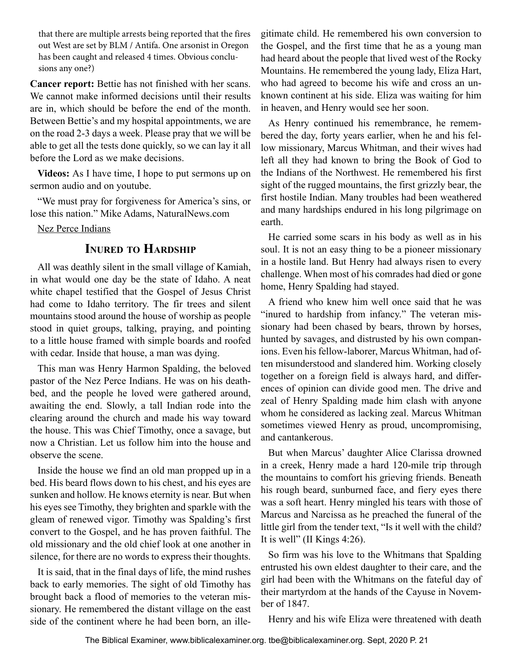<span id="page-20-0"></span>that there are multiple arrests being reported that the fires out West are set by BLM / Antifa. One arsonist in Oregon has been caught and released 4 times. Obvious conclusions any one?)

**Cancer report:** Bettie has not finished with her scans. We cannot make informed decisions until their results are in, which should be before the end of the month. Between Bettie's and my hospital appointments, we are on the road 2-3 days a week. Please pray that we will be able to get all the tests done quickly, so we can lay it all before the Lord as we make decisions.

**Videos:** As I have time, I hope to put sermons up on sermon audio and on youtube.

"We must pray for forgiveness for America's sins, or lose this nation." Mike Adams, NaturalNews.com

Nez Perce Indians

# **Inured to Hardship**

All was deathly silent in the small village of Kamiah, in what would one day be the state of Idaho. A neat white chapel testified that the Gospel of Jesus Christ had come to Idaho territory. The fir trees and silent mountains stood around the house of worship as people stood in quiet groups, talking, praying, and pointing to a little house framed with simple boards and roofed with cedar. Inside that house, a man was dying.

This man was Henry Harmon Spalding, the beloved pastor of the Nez Perce Indians. He was on his deathbed, and the people he loved were gathered around, awaiting the end. Slowly, a tall Indian rode into the clearing around the church and made his way toward the house. This was Chief Timothy, once a savage, but now a Christian. Let us follow him into the house and observe the scene.

Inside the house we find an old man propped up in a bed. His beard flows down to his chest, and his eyes are sunken and hollow. He knows eternity is near. But when his eyes see Timothy, they brighten and sparkle with the gleam of renewed vigor. Timothy was Spalding's first convert to the Gospel, and he has proven faithful. The old missionary and the old chief look at one another in silence, for there are no words to express their thoughts.

It is said, that in the final days of life, the mind rushes back to early memories. The sight of old Timothy has brought back a flood of memories to the veteran missionary. He remembered the distant village on the east side of the continent where he had been born, an illegitimate child. He remembered his own conversion to the Gospel, and the first time that he as a young man had heard about the people that lived west of the Rocky Mountains. He remembered the young lady, Eliza Hart, who had agreed to become his wife and cross an unknown continent at his side. Eliza was waiting for him in heaven, and Henry would see her soon.

As Henry continued his remembrance, he remembered the day, forty years earlier, when he and his fellow missionary, Marcus Whitman, and their wives had left all they had known to bring the Book of God to the Indians of the Northwest. He remembered his first sight of the rugged mountains, the first grizzly bear, the first hostile Indian. Many troubles had been weathered and many hardships endured in his long pilgrimage on earth.

He carried some scars in his body as well as in his soul. It is not an easy thing to be a pioneer missionary in a hostile land. But Henry had always risen to every challenge. When most of his comrades had died or gone home, Henry Spalding had stayed.

A friend who knew him well once said that he was "inured to hardship from infancy." The veteran missionary had been chased by bears, thrown by horses, hunted by savages, and distrusted by his own companions. Even his fellow-laborer, Marcus Whitman, had often misunderstood and slandered him. Working closely together on a foreign field is always hard, and differences of opinion can divide good men. The drive and zeal of Henry Spalding made him clash with anyone whom he considered as lacking zeal. Marcus Whitman sometimes viewed Henry as proud, uncompromising, and cantankerous.

But when Marcus' daughter Alice Clarissa drowned in a creek, Henry made a hard 120-mile trip through the mountains to comfort his grieving friends. Beneath his rough beard, sunburned face, and fiery eyes there was a soft heart. Henry mingled his tears with those of Marcus and Narcissa as he preached the funeral of the little girl from the tender text, "Is it well with the child? It is well" (II Kings 4:26).

So firm was his love to the Whitmans that Spalding entrusted his own eldest daughter to their care, and the girl had been with the Whitmans on the fateful day of their martyrdom at the hands of the Cayuse in November of 1847.

Henry and his wife Eliza were threatened with death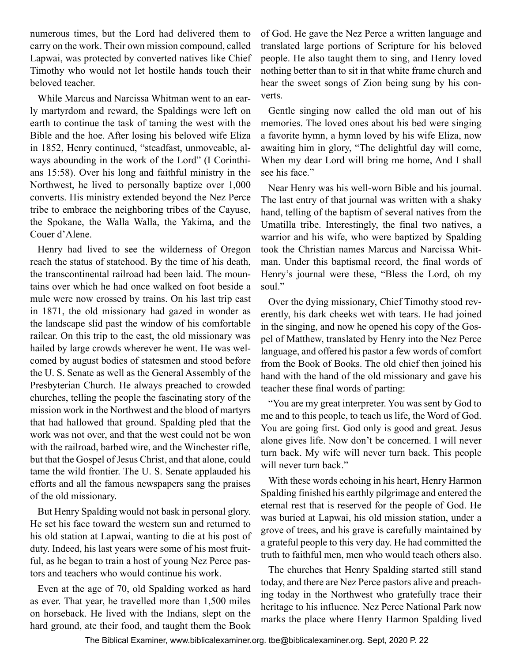numerous times, but the Lord had delivered them to carry on the work. Their own mission compound, called Lapwai, was protected by converted natives like Chief Timothy who would not let hostile hands touch their beloved teacher.

While Marcus and Narcissa Whitman went to an early martyrdom and reward, the Spaldings were left on earth to continue the task of taming the west with the Bible and the hoe. After losing his beloved wife Eliza in 1852, Henry continued, "steadfast, unmoveable, always abounding in the work of the Lord" (I Corinthians 15:58). Over his long and faithful ministry in the Northwest, he lived to personally baptize over 1,000 converts. His ministry extended beyond the Nez Perce tribe to embrace the neighboring tribes of the Cayuse, the Spokane, the Walla Walla, the Yakima, and the Couer d'Alene.

Henry had lived to see the wilderness of Oregon reach the status of statehood. By the time of his death, the transcontinental railroad had been laid. The mountains over which he had once walked on foot beside a mule were now crossed by trains. On his last trip east in 1871, the old missionary had gazed in wonder as the landscape slid past the window of his comfortable railcar. On this trip to the east, the old missionary was hailed by large crowds wherever he went. He was welcomed by august bodies of statesmen and stood before the U. S. Senate as well as the General Assembly of the Presbyterian Church. He always preached to crowded churches, telling the people the fascinating story of the mission work in the Northwest and the blood of martyrs that had hallowed that ground. Spalding pled that the work was not over, and that the west could not be won with the railroad, barbed wire, and the Winchester rifle, but that the Gospel of Jesus Christ, and that alone, could tame the wild frontier. The U. S. Senate applauded his efforts and all the famous newspapers sang the praises of the old missionary.

But Henry Spalding would not bask in personal glory. He set his face toward the western sun and returned to his old station at Lapwai, wanting to die at his post of duty. Indeed, his last years were some of his most fruitful, as he began to train a host of young Nez Perce pastors and teachers who would continue his work.

Even at the age of 70, old Spalding worked as hard as ever. That year, he travelled more than 1,500 miles on horseback. He lived with the Indians, slept on the hard ground, ate their food, and taught them the Book of God. He gave the Nez Perce a written language and translated large portions of Scripture for his beloved people. He also taught them to sing, and Henry loved nothing better than to sit in that white frame church and hear the sweet songs of Zion being sung by his converts.

Gentle singing now called the old man out of his memories. The loved ones about his bed were singing a favorite hymn, a hymn loved by his wife Eliza, now awaiting him in glory, "The delightful day will come, When my dear Lord will bring me home, And I shall see his face."

Near Henry was his well-worn Bible and his journal. The last entry of that journal was written with a shaky hand, telling of the baptism of several natives from the Umatilla tribe. Interestingly, the final two natives, a warrior and his wife, who were baptized by Spalding took the Christian names Marcus and Narcissa Whitman. Under this baptismal record, the final words of Henry's journal were these, "Bless the Lord, oh my soul."

Over the dying missionary, Chief Timothy stood reverently, his dark cheeks wet with tears. He had joined in the singing, and now he opened his copy of the Gospel of Matthew, translated by Henry into the Nez Perce language, and offered his pastor a few words of comfort from the Book of Books. The old chief then joined his hand with the hand of the old missionary and gave his teacher these final words of parting:

"You are my great interpreter. You was sent by God to me and to this people, to teach us life, the Word of God. You are going first. God only is good and great. Jesus alone gives life. Now don't be concerned. I will never turn back. My wife will never turn back. This people will never turn back."

With these words echoing in his heart, Henry Harmon Spalding finished his earthly pilgrimage and entered the eternal rest that is reserved for the people of God. He was buried at Lapwai, his old mission station, under a grove of trees, and his grave is carefully maintained by a grateful people to this very day. He had committed the truth to faithful men, men who would teach others also.

The churches that Henry Spalding started still stand today, and there are Nez Perce pastors alive and preaching today in the Northwest who gratefully trace their heritage to his influence. Nez Perce National Park now marks the place where Henry Harmon Spalding lived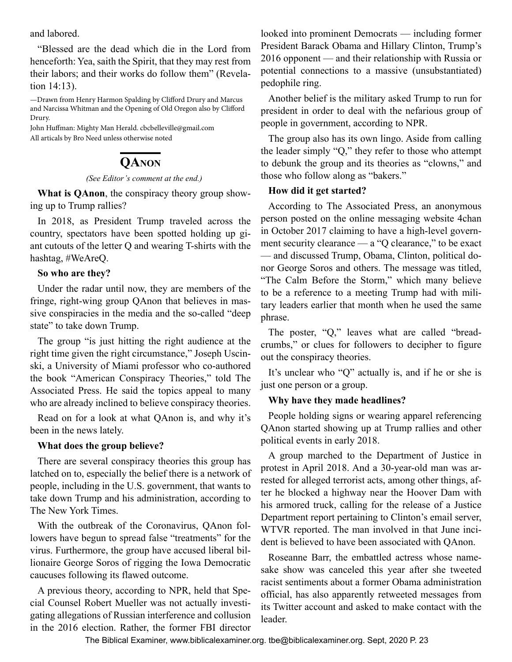<span id="page-22-0"></span>and labored.

"Blessed are the dead which die in the Lord from henceforth: Yea, saith the Spirit, that they may rest from their labors; and their works do follow them" (Revelation 14:13).

—Drawn from Henry Harmon Spalding by Clifford Drury and Marcus and Narcissa Whitman and the Opening of Old Oregon also by Clifford Drury.

John Huffman: Mighty Man Herald. cbcbelleville@gmail.com All articals by Bro Need unless otherwise noted

# **QAnon**

## *(See Editor's comment at the end.)*

**What is QAnon**, the conspiracy theory group showing up to Trump rallies?

In 2018, as President Trump traveled across the country, spectators have been spotted holding up giant cutouts of the letter Q and wearing T-shirts with the hashtag, #WeAreQ.

## **So who are they?**

Under the radar until now, they are members of the fringe, right-wing group QAnon that believes in massive conspiracies in the media and the so-called "deep state" to take down Trump.

The group "is just hitting the right audience at the right time given the right circumstance," Joseph Uscinski, a University of Miami professor who co-authored the book "American Conspiracy Theories," told The Associated Press. He said the topics appeal to many who are already inclined to believe conspiracy theories.

Read on for a look at what QAnon is, and why it's been in the news lately.

## **What does the group believe?**

There are several conspiracy theories this group has latched on to, especially the belief there is a network of people, including in the U.S. government, that wants to take down Trump and his administration, according to The New York Times.

With the outbreak of the Coronavirus, QAnon followers have begun to spread false "treatments" for the virus. Furthermore, the group have accused liberal billionaire George Soros of rigging the Iowa Democratic caucuses following its flawed outcome.

A previous theory, according to NPR, held that Special Counsel Robert Mueller was not actually investigating allegations of Russian interference and collusion in the 2016 election. Rather, the former FBI director

looked into prominent Democrats — including former President Barack Obama and Hillary Clinton, Trump's 2016 opponent — and their relationship with Russia or potential connections to a massive (unsubstantiated) pedophile ring.

Another belief is the military asked Trump to run for president in order to deal with the nefarious group of people in government, according to NPR.

The group also has its own lingo. Aside from calling the leader simply "Q," they refer to those who attempt to debunk the group and its theories as "clowns," and those who follow along as "bakers."

## **How did it get started?**

According to The Associated Press, an anonymous person posted on the online messaging website 4chan in October 2017 claiming to have a high-level government security clearance — a "Q clearance," to be exact — and discussed Trump, Obama, Clinton, political donor George Soros and others. The message was titled, "The Calm Before the Storm," which many believe to be a reference to a meeting Trump had with military leaders earlier that month when he used the same phrase.

The poster, "Q," leaves what are called "breadcrumbs," or clues for followers to decipher to figure out the conspiracy theories.

It's unclear who "Q" actually is, and if he or she is just one person or a group.

## **Why have they made headlines?**

People holding signs or wearing apparel referencing QAnon started showing up at Trump rallies and other political events in early 2018.

A group marched to the Department of Justice in protest in April 2018. And a 30-year-old man was arrested for alleged terrorist acts, among other things, after he blocked a highway near the Hoover Dam with his armored truck, calling for the release of a Justice Department report pertaining to Clinton's email server, WTVR reported. The man involved in that June incident is believed to have been associated with QAnon.

Roseanne Barr, the embattled actress whose namesake show was canceled this year after she tweeted racist sentiments about a former Obama administration official, has also apparently retweeted messages from its Twitter account and asked to make contact with the leader.